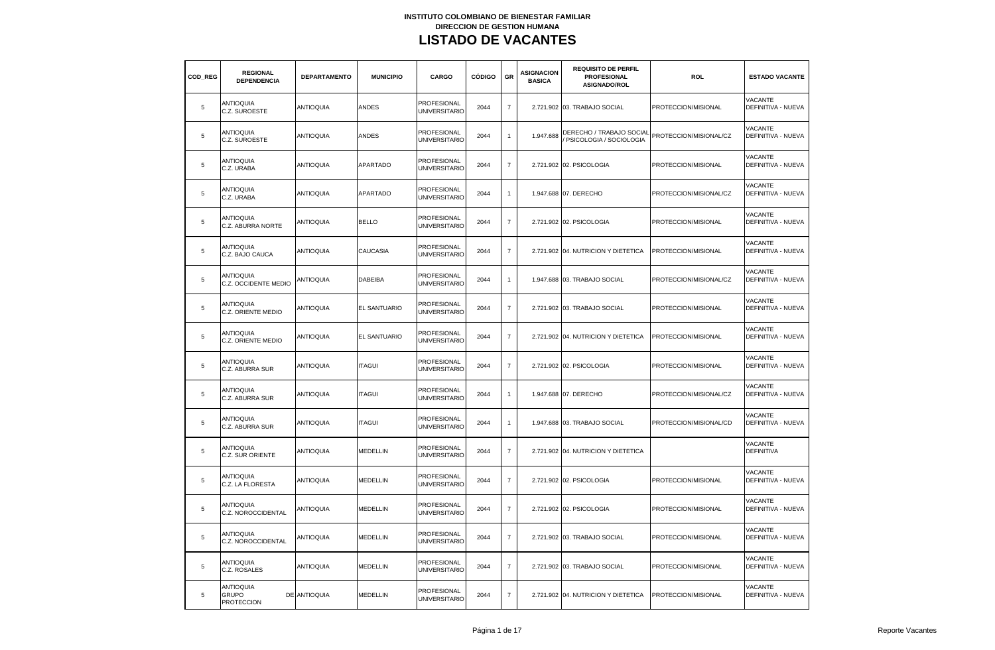| COD REG | <b>REGIONAL</b><br><b>DEPENDENCIA</b>                 | <b>DEPARTAMENTO</b> | <b>MUNICIPIO</b>    | CARGO                                      | <b>CÓDIGO</b> | GR             | <b>ASIGNACION</b><br><b>BASICA</b> | <b>REQUISITO DE PERFIL</b><br><b>PROFESIONAL</b><br><b>ASIGNADO/ROL</b> | <b>ROL</b>             | <b>ESTADO VACANTE</b>                       |
|---------|-------------------------------------------------------|---------------------|---------------------|--------------------------------------------|---------------|----------------|------------------------------------|-------------------------------------------------------------------------|------------------------|---------------------------------------------|
| 5       | <b>ANTIOQUIA</b><br>C.Z. SUROESTE                     | <b>ANTIOQUIA</b>    | ANDES               | <b>PROFESIONAL</b><br><b>UNIVERSITARIO</b> | 2044          | $\overline{7}$ |                                    | 2.721.902 03. TRABAJO SOCIAL                                            | PROTECCION/MISIONAL    | VACANTE<br>DEFINITIVA - NUEVA               |
| 5       | <b>ANTIOQUIA</b><br>C.Z. SUROESTE                     | <b>ANTIOQUIA</b>    | <b>ANDES</b>        | PROFESIONAL<br><b>UNIVERSITARIO</b>        | 2044          | $\mathbf{1}$   | 1.947.688                          | DERECHO / TRABAJO SOCIAL<br>PSICOLOGIA / SOCIOLOGIA                     | PROTECCION/MISIONAL/CZ | VACANTE<br>DEFINITIVA - NUEVA               |
| 5       | <b>ANTIOQUIA</b><br>C.Z. URABA                        | <b>ANTIOQUIA</b>    | <b>APARTADO</b>     | PROFESIONAL<br><b>UNIVERSITARIO</b>        | 2044          | $\overline{7}$ |                                    | 2.721.902 02. PSICOLOGIA                                                | PROTECCION/MISIONAL    | VACANTE<br>DEFINITIVA - NUEVA               |
| 5       | <b>ANTIOQUIA</b><br>C.Z. URABA                        | <b>ANTIOQUIA</b>    | <b>APARTADO</b>     | PROFESIONAL<br><b>UNIVERSITARIO</b>        | 2044          | $\overline{1}$ |                                    | 1.947.688 07. DERECHO                                                   | PROTECCION/MISIONAL/CZ | VACANTE<br>DEFINITIVA - NUEVA               |
| 5       | <b>ANTIOQUIA</b><br>C.Z. ABURRA NORTE                 | <b>ANTIOQUIA</b>    | <b>BELLO</b>        | PROFESIONAL<br><b>UNIVERSITARIO</b>        | 2044          | $\overline{7}$ |                                    | 2.721.902 02. PSICOLOGIA                                                | PROTECCION/MISIONAL    | <b>VACANTE</b><br><b>DEFINITIVA - NUEVA</b> |
| 5       | <b>ANTIOQUIA</b><br>C.Z. BAJO CAUCA                   | <b>ANTIOQUIA</b>    | CAUCASIA            | PROFESIONAL<br><b>UNIVERSITARIO</b>        | 2044          | $\overline{7}$ |                                    | 2.721.902 04. NUTRICION Y DIETETICA                                     | PROTECCION/MISIONAL    | VACANTE<br>DEFINITIVA - NUEVA               |
| 5       | <b>ANTIOQUIA</b><br>C.Z. OCCIDENTE MEDIO              | <b>ANTIOQUIA</b>    | <b>DABEIBA</b>      | PROFESIONAL<br><b>UNIVERSITARIO</b>        | 2044          | $\mathbf{1}$   |                                    | 1.947.688 03. TRABAJO SOCIAL                                            | PROTECCION/MISIONAL/CZ | VACANTE<br>DEFINITIVA - NUEVA               |
| 5       | <b>ANTIOQUIA</b><br>C.Z. ORIENTE MEDIO                | <b>ANTIOQUIA</b>    | <b>EL SANTUARIO</b> | PROFESIONAL<br><b>UNIVERSITARIO</b>        | 2044          | $\overline{7}$ |                                    | 2.721.902 03. TRABAJO SOCIAL                                            | PROTECCION/MISIONAL    | VACANTE<br>DEFINITIVA - NUEVA               |
| 5       | <b>ANTIOQUIA</b><br>C.Z. ORIENTE MEDIO                | <b>ANTIOQUIA</b>    | EL SANTUARIO        | PROFESIONAL<br><b>UNIVERSITARIO</b>        | 2044          | $\overline{7}$ |                                    | 2.721.902 04. NUTRICION Y DIETETICA                                     | PROTECCION/MISIONAL    | VACANTE<br>DEFINITIVA - NUEVA               |
| 5       | <b>ANTIOQUIA</b><br>C.Z. ABURRA SUR                   | <b>ANTIOQUIA</b>    | <b>ITAGUI</b>       | PROFESIONAL<br><b>UNIVERSITARIO</b>        | 2044          | $\overline{7}$ |                                    | 2.721.902 02. PSICOLOGIA                                                | PROTECCION/MISIONAL    | VACANTE<br>DEFINITIVA - NUEVA               |
| 5       | <b>ANTIOQUIA</b><br>C.Z. ABURRA SUR                   | <b>ANTIOQUIA</b>    | <b>ITAGUI</b>       | PROFESIONAL<br><b>UNIVERSITARIO</b>        | 2044          | $\mathbf{1}$   |                                    | 1.947.688 07. DERECHO                                                   | PROTECCION/MISIONAL/CZ | VACANTE<br>DEFINITIVA - NUEVA               |
| 5       | <b>ANTIOQUIA</b><br>C.Z. ABURRA SUR                   | <b>ANTIOQUIA</b>    | <b>ITAGUI</b>       | PROFESIONAL<br><b>UNIVERSITARIO</b>        | 2044          | $\mathbf{1}$   |                                    | 1.947.688 03. TRABAJO SOCIAL                                            | PROTECCION/MISIONAL/CD | VACANTE<br>DEFINITIVA - NUEVA               |
| 5       | <b>ANTIOQUIA</b><br>C.Z. SUR ORIENTE                  | <b>ANTIOQUIA</b>    | <b>MEDELLIN</b>     | PROFESIONAL<br><b>UNIVERSITARIO</b>        | 2044          | $\overline{7}$ |                                    | 2.721.902 04. NUTRICION Y DIETETICA                                     |                        | VACANTE<br><b>DEFINITIVA</b>                |
| 5       | <b>ANTIOQUIA</b><br>C.Z. LA FLORESTA                  | <b>ANTIOQUIA</b>    | MEDELLIN            | PROFESIONAL<br><b>UNIVERSITARIO</b>        | 2044          | $\overline{7}$ |                                    | 2.721.902 02. PSICOLOGIA                                                | PROTECCION/MISIONAL    | <b>VACANTE</b><br>DEFINITIVA - NUEVA        |
| 5       | <b>ANTIOQUIA</b><br>C.Z. NOROCCIDENTAL                | <b>ANTIOQUIA</b>    | MEDELLIN            | PROFESIONAL<br><b>UNIVERSITARIO</b>        | 2044          | $\overline{7}$ |                                    | 2.721.902 02. PSICOLOGIA                                                | PROTECCION/MISIONAL    | VACANTE<br>DEFINITIVA - NUEVA               |
| 5       | <b>ANTIOQUIA</b><br>C.Z. NOROCCIDENTAL                | <b>ANTIOQUIA</b>    | MEDELLIN            | <b>PROFESIONAL</b><br><b>UNIVERSITARIO</b> | 2044          | $\overline{7}$ |                                    | 2.721.902 03. TRABAJO SOCIAL                                            | PROTECCION/MISIONAL    | <b>VACANTE</b><br>DEFINITIVA - NUEVA        |
| 5       | <b>ANTIOQUIA</b><br>C.Z. ROSALES                      | <b>ANTIOQUIA</b>    | MEDELLIN            | <b>PROFESIONAL</b><br><b>UNIVERSITARIO</b> | 2044          | $\overline{7}$ |                                    | 2.721.902 03. TRABAJO SOCIAL                                            | PROTECCION/MISIONAL    | <b>VACANTE</b><br>DEFINITIVA - NUEVA        |
| 5       | <b>ANTIOQUIA</b><br><b>GRUPO</b><br><b>PROTECCION</b> | DE ANTIOQUIA        | <b>MEDELLIN</b>     | PROFESIONAL<br><b>UNIVERSITARIO</b>        | 2044          | $\overline{7}$ |                                    | 2.721.902 04. NUTRICION Y DIETETICA                                     | PROTECCION/MISIONAL    | <b>VACANTE</b><br>DEFINITIVA - NUEVA        |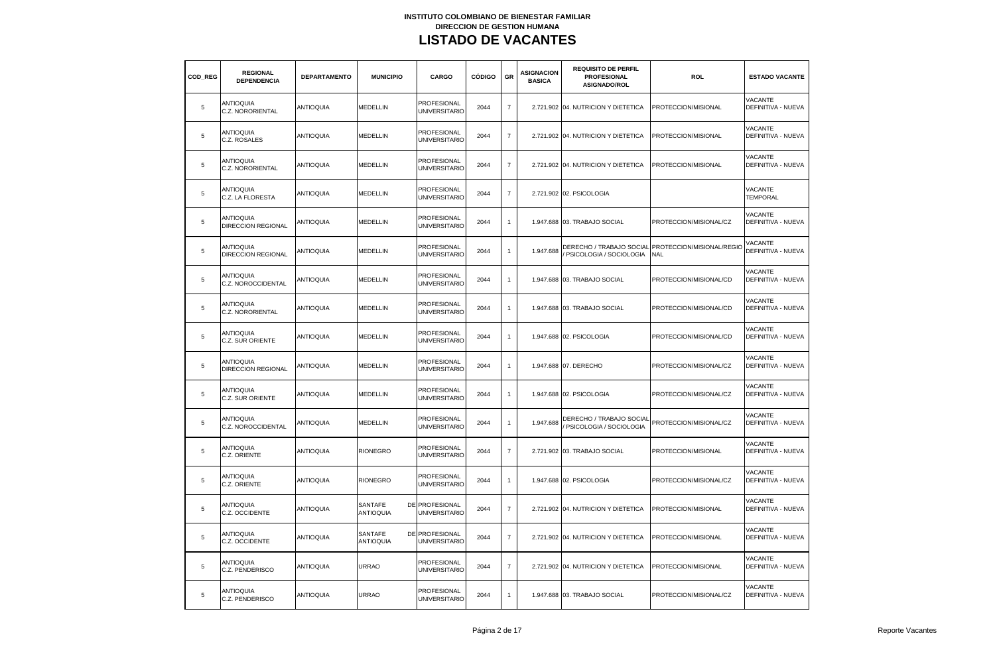| COD REG | <b>REGIONAL</b><br><b>DEPENDENCIA</b>         | <b>DEPARTAMENTO</b> | <b>MUNICIPIO</b>            | CARGO                                         | <b>CÓDIGO</b> | GR             | <b>ASIGNACION</b><br><b>BASICA</b> | <b>REQUISITO DE PERFIL</b><br><b>PROFESIONAL</b><br><b>ASIGNADO/ROL</b> | <b>ROL</b>                                                       | <b>ESTADO VACANTE</b>                |
|---------|-----------------------------------------------|---------------------|-----------------------------|-----------------------------------------------|---------------|----------------|------------------------------------|-------------------------------------------------------------------------|------------------------------------------------------------------|--------------------------------------|
| 5       | <b>ANTIOQUIA</b><br>C.Z. NORORIENTAL          | <b>ANTIOQUIA</b>    | MEDELLIN                    | <b>PROFESIONAL</b><br><b>UNIVERSITARIO</b>    | 2044          | $\overline{7}$ |                                    | 2.721.902 04. NUTRICION Y DIETETICA                                     | PROTECCION/MISIONAL                                              | VACANTE<br>DEFINITIVA - NUEVA        |
| 5       | <b>ANTIOQUIA</b><br>C.Z. ROSALES              | <b>ANTIOQUIA</b>    | MEDELLIN                    | PROFESIONAL<br><b>UNIVERSITARIO</b>           | 2044          | $\overline{7}$ |                                    | 2.721.902 04. NUTRICION Y DIETETICA                                     | PROTECCION/MISIONAL                                              | VACANTE<br>DEFINITIVA - NUEVA        |
| 5       | <b>ANTIOQUIA</b><br>C.Z. NORORIENTAL          | <b>ANTIOQUIA</b>    | MEDELLIN                    | PROFESIONAL<br><b>UNIVERSITARIO</b>           | 2044          | $\overline{7}$ |                                    | 2.721.902 04. NUTRICION Y DIETETICA                                     | PROTECCION/MISIONAL                                              | VACANTE<br>DEFINITIVA - NUEVA        |
| 5       | <b>ANTIOQUIA</b><br>C.Z. LA FLORESTA          | <b>ANTIOQUIA</b>    | MEDELLIN                    | PROFESIONAL<br><b>UNIVERSITARIO</b>           | 2044          | $\overline{7}$ |                                    | 2.721.902 02. PSICOLOGIA                                                |                                                                  | VACANTE<br><b>TEMPORAL</b>           |
| 5       | <b>ANTIOQUIA</b><br><b>DIRECCION REGIONAL</b> | <b>ANTIOQUIA</b>    | MEDELLIN                    | PROFESIONAL<br><b>UNIVERSITARIO</b>           | 2044          | $\mathbf{1}$   |                                    | 1.947.688 03. TRABAJO SOCIAL                                            | PROTECCION/MISIONAL/CZ                                           | VACANTE<br><b>DEFINITIVA - NUEVA</b> |
| 5       | <b>ANTIOQUIA</b><br><b>DIRECCION REGIONAL</b> | <b>ANTIOQUIA</b>    | MEDELLIN                    | PROFESIONAL<br><b>UNIVERSITARIO</b>           | 2044          | $\mathbf{1}$   | 1.947.688                          | PSICOLOGIA / SOCIOLOGIA                                                 | DERECHO / TRABAJO SOCIAL PROTECCION/MISIONAL/REGIO<br><b>NAL</b> | VACANTE<br>DEFINITIVA - NUEVA        |
| 5       | <b>ANTIOQUIA</b><br>C.Z. NOROCCIDENTAL        | <b>ANTIOQUIA</b>    | <b>MEDELLIN</b>             | PROFESIONAL<br><b>UNIVERSITARIO</b>           | 2044          | $\mathbf{1}$   |                                    | 1.947.688 03. TRABAJO SOCIAL                                            | PROTECCION/MISIONAL/CD                                           | <b>VACANTE</b><br>DEFINITIVA - NUEVA |
| 5       | <b>ANTIOQUIA</b><br>C.Z. NORORIENTAL          | <b>ANTIOQUIA</b>    | MEDELLIN                    | PROFESIONAL<br><b>UNIVERSITARIO</b>           | 2044          | $\mathbf{1}$   |                                    | 1.947.688 03. TRABAJO SOCIAL                                            | PROTECCION/MISIONAL/CD                                           | VACANTE<br>DEFINITIVA - NUEVA        |
| 5       | <b>ANTIOQUIA</b><br>C.Z. SUR ORIENTE          | <b>ANTIOQUIA</b>    | <b>MEDELLIN</b>             | PROFESIONAL<br><b>UNIVERSITARIO</b>           | 2044          | $\mathbf{1}$   |                                    | 1.947.688 02. PSICOLOGIA                                                | PROTECCION/MISIONAL/CD                                           | VACANTE<br>DEFINITIVA - NUEVA        |
| 5       | <b>ANTIOQUIA</b><br><b>DIRECCION REGIONAL</b> | <b>ANTIOQUIA</b>    | <b>MEDELLIN</b>             | PROFESIONAL<br><b>UNIVERSITARIO</b>           | 2044          | $\mathbf{1}$   |                                    | 1.947.688 07. DERECHO                                                   | PROTECCION/MISIONAL/CZ                                           | VACANTE<br>DEFINITIVA - NUEVA        |
| 5       | <b>ANTIOQUIA</b><br>C.Z. SUR ORIENTE          | <b>ANTIOQUIA</b>    | <b>MEDELLIN</b>             | <b>PROFESIONAL</b><br><b>UNIVERSITARIO</b>    | 2044          | $\mathbf{1}$   |                                    | 1.947.688 02. PSICOLOGIA                                                | PROTECCION/MISIONAL/CZ                                           | VACANTE<br>DEFINITIVA - NUEVA        |
| 5       | <b>ANTIOQUIA</b><br>C.Z. NOROCCIDENTAL        | <b>ANTIOQUIA</b>    | MEDELLIN                    | PROFESIONAL<br><b>UNIVERSITARIO</b>           | 2044          | $\mathbf{1}$   | 1.947.688                          | DERECHO / TRABAJO SOCIAL<br>PSICOLOGIA / SOCIOLOGIA                     | PROTECCION/MISIONAL/CZ                                           | VACANTE<br>DEFINITIVA - NUEVA        |
| 5       | <b>ANTIOQUIA</b><br>C.Z. ORIENTE              | <b>ANTIOQUIA</b>    | <b>RIONEGRO</b>             | PROFESIONAL<br><b>UNIVERSITARIO</b>           | 2044          | $\overline{7}$ |                                    | 2.721.902 03. TRABAJO SOCIAL                                            | PROTECCION/MISIONAL                                              | VACANTE<br><b>DEFINITIVA - NUEVA</b> |
| 5       | <b>ANTIOQUIA</b><br>C.Z. ORIENTE              | <b>ANTIOQUIA</b>    | <b>RIONEGRO</b>             | PROFESIONAL<br><b>UNIVERSITARIO</b>           | 2044          | $\mathbf{1}$   |                                    | 1.947.688 02. PSICOLOGIA                                                | PROTECCION/MISIONAL/CZ                                           | VACANTE<br>DEFINITIVA - NUEVA        |
| 5       | <b>ANTIOQUIA</b><br>C.Z. OCCIDENTE            | <b>ANTIOQUIA</b>    | SANTAFE<br><b>ANTIOQUIA</b> | <b>DE PROFESIONAL</b><br><b>UNIVERSITARIO</b> | 2044          | $\overline{7}$ |                                    | 2.721.902 04. NUTRICION Y DIETETICA                                     | PROTECCION/MISIONAL                                              | VACANTE<br>DEFINITIVA - NUEVA        |
| 5       | <b>ANTIOQUIA</b><br>C.Z. OCCIDENTE            | <b>ANTIOQUIA</b>    | SANTAFE<br><b>ANTIOQUIA</b> | DE PROFESIONAL<br><b>UNIVERSITARIO</b>        | 2044          | $\overline{7}$ |                                    | 2.721.902 04. NUTRICION Y DIETETICA                                     | PROTECCION/MISIONAL                                              | <b>VACANTE</b><br>DEFINITIVA - NUEVA |
| 5       | <b>ANTIOQUIA</b><br>C.Z. PENDERISCO           | <b>ANTIOQUIA</b>    | URRAO                       | PROFESIONAL<br><b>UNIVERSITARIO</b>           | 2044          | $\overline{7}$ |                                    | 2.721.902 04. NUTRICION Y DIETETICA                                     | PROTECCION/MISIONAL                                              | <b>VACANTE</b><br>DEFINITIVA - NUEVA |
| 5       | <b>ANTIOQUIA</b><br>C.Z. PENDERISCO           | <b>ANTIOQUIA</b>    | <b>URRAO</b>                | PROFESIONAL<br><b>UNIVERSITARIO</b>           | 2044          | $\mathbf{1}$   |                                    | 1.947.688 03. TRABAJO SOCIAL                                            | PROTECCION/MISIONAL/CZ                                           | <b>VACANTE</b><br>DEFINITIVA - NUEVA |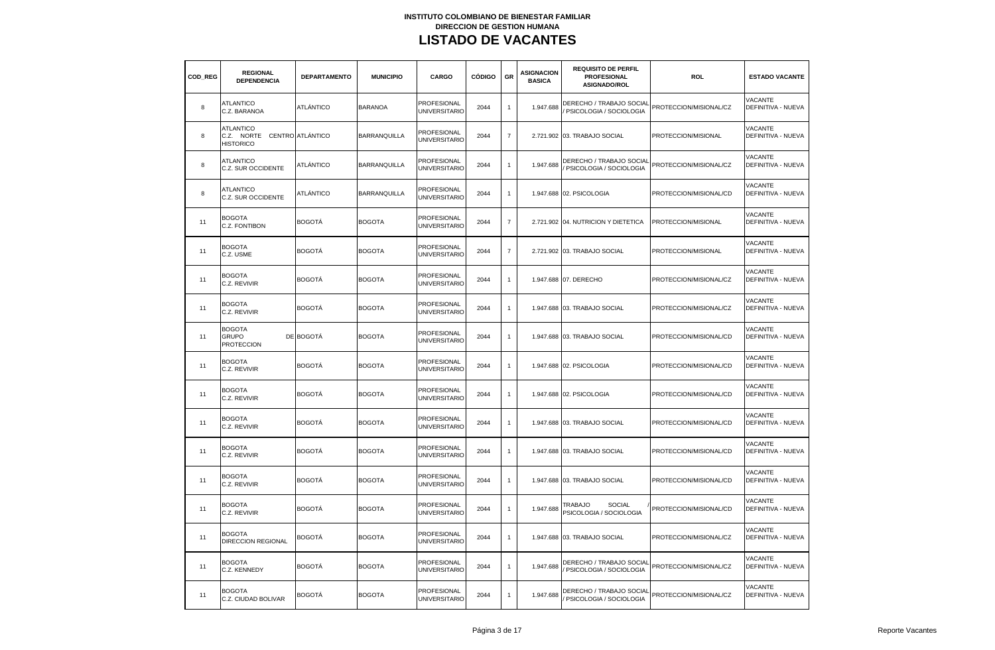| COD REG | <b>REGIONAL</b><br><b>DEPENDENCIA</b>                               | <b>DEPARTAMENTO</b> | <b>MUNICIPIO</b>    | CARGO                                      | <b>CÓDIGO</b> | GR             | <b>ASIGNACION</b><br><b>BASICA</b> | <b>REQUISITO DE PERFIL</b><br><b>PROFESIONAL</b><br>ASIGNADO/ROL | ROL                    | <b>ESTADO VACANTE</b>                |
|---------|---------------------------------------------------------------------|---------------------|---------------------|--------------------------------------------|---------------|----------------|------------------------------------|------------------------------------------------------------------|------------------------|--------------------------------------|
| 8       | <b>ATLANTICO</b><br>C.Z. BARANOA                                    | ATLÁNTICO           | <b>BARANOA</b>      | <b>PROFESIONAL</b><br><b>UNIVERSITARIO</b> | 2044          | $\overline{1}$ | 1.947.688                          | DERECHO / TRABAJO SOCIAL<br>PSICOLOGIA / SOCIOLOGIA              | PROTECCION/MISIONAL/CZ | VACANTE<br>DEFINITIVA - NUEVA        |
| 8       | <b>ATLANTICO</b><br>C.Z. NORTE CENTRO ATLÁNTICO<br><b>HISTORICO</b> |                     | <b>BARRANQUILLA</b> | <b>PROFESIONAL</b><br><b>UNIVERSITARIO</b> | 2044          | $\overline{7}$ |                                    | 2.721.902 03. TRABAJO SOCIAL                                     | PROTECCION/MISIONAL    | <b>VACANTE</b><br>DEFINITIVA - NUEVA |
| 8       | <b>ATLANTICO</b><br>C.Z. SUR OCCIDENTE                              | ATLÁNTICO           | <b>BARRANQUILLA</b> | <b>PROFESIONAL</b><br><b>UNIVERSITARIO</b> | 2044          | $\overline{1}$ | 1.947.688                          | DERECHO / TRABAJO SOCIAL<br>PSICOLOGIA / SOCIOLOGIA              | PROTECCION/MISIONAL/CZ | VACANTE<br><b>DEFINITIVA - NUEVA</b> |
| 8       | ATLANTICO<br>C.Z. SUR OCCIDENTE                                     | ATLÁNTICO           | <b>BARRANQUILLA</b> | PROFESIONAL<br><b>UNIVERSITARIO</b>        | 2044          | $\mathbf{1}$   |                                    | 1.947.688 02. PSICOLOGIA                                         | PROTECCION/MISIONAL/CD | VACANTE<br>DEFINITIVA - NUEVA        |
| 11      | <b>BOGOTA</b><br>C.Z. FONTIBON                                      | BOGOTÁ              | <b>BOGOTA</b>       | PROFESIONAL<br><b>UNIVERSITARIO</b>        | 2044          | $\overline{7}$ |                                    | 2.721.902 04. NUTRICION Y DIETETICA                              | PROTECCION/MISIONAL    | VACANTE<br><b>DEFINITIVA - NUEVA</b> |
| 11      | BOGOTA<br>C.Z. USME                                                 | BOGOTÁ              | <b>BOGOTA</b>       | PROFESIONAL<br>UNIVERSITARIO               | 2044          | $\overline{7}$ |                                    | 2.721.902 03. TRABAJO SOCIAL                                     | PROTECCION/MISIONAL    | VACANTE<br>DEFINITIVA - NUEVA        |
| 11      | <b>BOGOTA</b><br>C.Z. REVIVIR                                       | BOGOTÁ              | <b>BOGOTA</b>       | <b>PROFESIONAL</b><br>UNIVERSITARIO        | 2044          | $\mathbf{1}$   |                                    | 1.947.688 07. DERECHO                                            | PROTECCION/MISIONAL/CZ | <b>VACANTE</b><br>DEFINITIVA - NUEVA |
| 11      | <b>BOGOTA</b><br>C.Z. REVIVIR                                       | BOGOTÁ              | <b>BOGOTA</b>       | PROFESIONAL<br><b>UNIVERSITARIO</b>        | 2044          | $\mathbf{1}$   |                                    | 1.947.688 03. TRABAJO SOCIAL                                     | PROTECCION/MISIONAL/CZ | <b>VACANTE</b><br>DEFINITIVA - NUEVA |
| 11      | <b>BOGOTA</b><br><b>GRUPO</b><br><b>PROTECCION</b>                  | DE BOGOTÁ           | <b>BOGOTA</b>       | <b>PROFESIONAL</b><br><b>UNIVERSITARIO</b> | 2044          | $\mathbf{1}$   |                                    | 1.947.688 03. TRABAJO SOCIAL                                     | PROTECCION/MISIONAL/CD | VACANTE<br>DEFINITIVA - NUEVA        |
| 11      | <b>BOGOTA</b><br>C.Z. REVIVIR                                       | BOGOTÁ              | <b>BOGOTA</b>       | PROFESIONAL<br><b>UNIVERSITARIO</b>        | 2044          | $\mathbf{1}$   |                                    | 1.947.688 02. PSICOLOGIA                                         | PROTECCION/MISIONAL/CD | VACANTE<br>DEFINITIVA - NUEVA        |
| 11      | <b>BOGOTA</b><br>C.Z. REVIVIR                                       | BOGOTÁ              | <b>BOGOTA</b>       | PROFESIONAL<br>UNIVERSITARIO               | 2044          | $\mathbf{1}$   |                                    | 1.947.688 02. PSICOLOGIA                                         | PROTECCION/MISIONAL/CD | VACANTE<br><b>DEFINITIVA - NUEVA</b> |
| 11      | <b>BOGOTA</b><br>C.Z. REVIVIR                                       | <b>BOGOTÁ</b>       | <b>BOGOTA</b>       | PROFESIONAL<br><b>UNIVERSITARIO</b>        | 2044          | $\mathbf{1}$   |                                    | 1.947.688 03. TRABAJO SOCIAL                                     | PROTECCION/MISIONAL/CD | VACANTE<br>DEFINITIVA - NUEVA        |
| 11      | <b>BOGOTA</b><br>C.Z. REVIVIR                                       | BOGOTÁ              | <b>BOGOTA</b>       | PROFESIONAL<br><b>UNIVERSITARIO</b>        | 2044          | $\overline{1}$ |                                    | 1.947.688 03. TRABAJO SOCIAL                                     | PROTECCION/MISIONAL/CD | VACANTE<br>DEFINITIVA - NUEVA        |
| 11      | <b>BOGOTA</b><br>C.Z. REVIVIR                                       | BOGOTÁ              | <b>BOGOTA</b>       | <b>PROFESIONAL</b><br><b>UNIVERSITARIO</b> | 2044          | $\mathbf{1}$   | 1.947.688                          | 03. TRABAJO SOCIAL                                               | PROTECCION/MISIONAL/CD | VACANTE<br>DEFINITIVA - NUEVA        |
| 11      | <b>BOGOTA</b><br>C.Z. REVIVIR                                       | BOGOTÁ              | <b>BOGOTA</b>       | PROFESIONAL<br><b>UNIVERSITARIO</b>        | 2044          | $\overline{1}$ | 1.947.688                          | <b>SOCIAL</b><br>TRABAJO<br>PSICOLOGIA / SOCIOLOGIA              | PROTECCION/MISIONAL/CD | VACANTE<br>DEFINITIVA - NUEVA        |
| 11      | <b>BOGOTA</b><br><b>DIRECCION REGIONAL</b>                          | BOGOTÁ              | <b>BOGOTA</b>       | PROFESIONAL<br>UNIVERSITARIO               | 2044          | $\overline{1}$ |                                    | 1.947.688 03. TRABAJO SOCIAL                                     | PROTECCION/MISIONAL/CZ | VACANTE<br>DEFINITIVA - NUEVA        |
| 11      | <b>BOGOTA</b><br>C.Z. KENNEDY                                       | BOGOTÁ              | <b>BOGOTA</b>       | PROFESIONAL<br><b>UNIVERSITARIO</b>        | 2044          | $\overline{1}$ | 1.947.688                          | DERECHO / TRABAJO SOCIAI<br>/ PSICOLOGIA / SOCIOLOGIA            | PROTECCION/MISIONAL/CZ | VACANTE<br>DEFINITIVA - NUEVA        |
| 11      | <b>BOGOTA</b><br>C.Z. CIUDAD BOLIVAR                                | <b>BOGOTÁ</b>       | <b>BOGOTA</b>       | PROFESIONAL<br><b>UNIVERSITARIO</b>        | 2044          | $\mathbf{1}$   | 1.947.688                          | DERECHO / TRABAJO SOCIAL<br>PSICOLOGIA / SOCIOLOGIA              | PROTECCION/MISIONAL/CZ | VACANTE<br>DEFINITIVA - NUEVA        |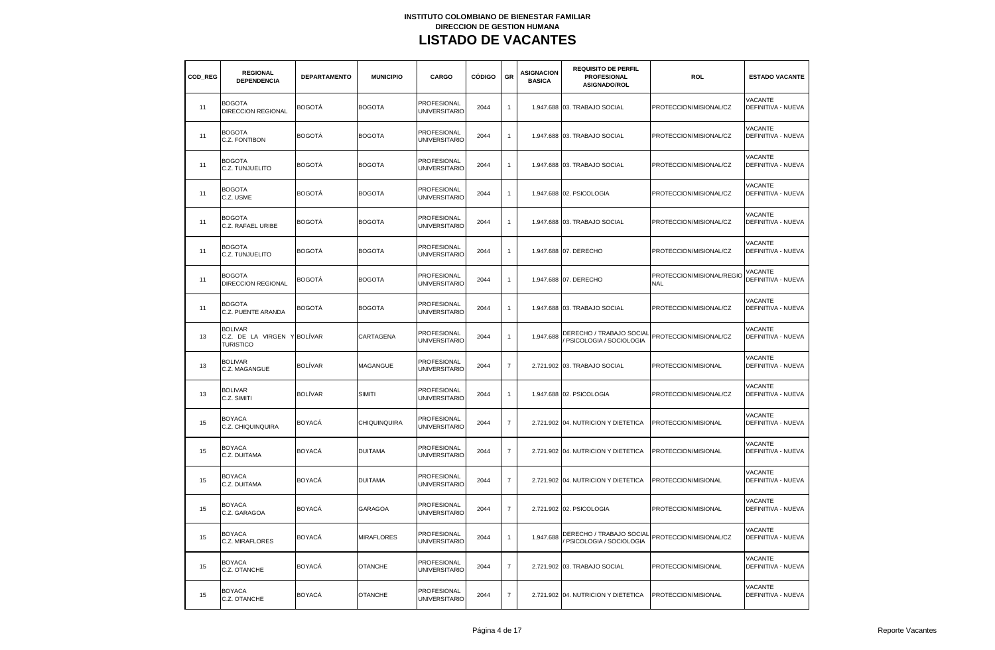| COD REG | <b>REGIONAL</b><br><b>DEPENDENCIA</b>                     | <b>DEPARTAMENTO</b> | <b>MUNICIPIO</b>  | CARGO                                      | <b>CÓDIGO</b> | GR             | <b>ASIGNACION</b><br><b>BASICA</b> | <b>REQUISITO DE PERFIL</b><br><b>PROFESIONAL</b><br>ASIGNADO/ROL | ROL                                     | <b>ESTADO VACANTE</b>                |
|---------|-----------------------------------------------------------|---------------------|-------------------|--------------------------------------------|---------------|----------------|------------------------------------|------------------------------------------------------------------|-----------------------------------------|--------------------------------------|
| 11      | <b>BOGOTA</b><br><b>DIRECCION REGIONAL</b>                | BOGOTÁ              | <b>BOGOTA</b>     | PROFESIONAL<br><b>UNIVERSITARIO</b>        | 2044          | $\mathbf{1}$   |                                    | 1.947.688 03. TRABAJO SOCIAL                                     | PROTECCION/MISIONAL/CZ                  | VACANTE<br>DEFINITIVA - NUEVA        |
| 11      | <b>BOGOTA</b><br>C.Z. FONTIBON                            | <b>BOGOTÁ</b>       | <b>BOGOTA</b>     | PROFESIONAL<br><b>UNIVERSITARIO</b>        | 2044          | $\mathbf{1}$   |                                    | 1.947.688 03. TRABAJO SOCIAL                                     | PROTECCION/MISIONAL/CZ                  | VACANTE<br>DEFINITIVA - NUEVA        |
| 11      | <b>BOGOTA</b><br>C.Z. TUNJUELITO                          | <b>BOGOTÁ</b>       | <b>BOGOTA</b>     | PROFESIONAL<br><b>UNIVERSITARIO</b>        | 2044          | $\mathbf{1}$   |                                    | 1.947.688 03. TRABAJO SOCIAL                                     | PROTECCION/MISIONAL/CZ                  | VACANTE<br><b>DEFINITIVA - NUEVA</b> |
| 11      | <b>BOGOTA</b><br>C.Z. USME                                | <b>BOGOTÁ</b>       | <b>BOGOTA</b>     | <b>PROFESIONAL</b><br><b>UNIVERSITARIO</b> | 2044          | $\mathbf{1}$   |                                    | 1.947.688 02. PSICOLOGIA                                         | PROTECCION/MISIONAL/CZ                  | VACANTE<br>DEFINITIVA - NUEVA        |
| 11      | <b>BOGOTA</b><br>C.Z. RAFAEL URIBE                        | <b>BOGOTÁ</b>       | <b>BOGOTA</b>     | PROFESIONAL<br><b>UNIVERSITARIO</b>        | 2044          | $\overline{1}$ |                                    | 1.947.688 03. TRABAJO SOCIAL                                     | PROTECCION/MISIONAL/CZ                  | VACANTE<br>DEFINITIVA - NUEVA        |
| 11      | <b>BOGOTA</b><br>C.Z. TUNJUELITO                          | <b>BOGOTÁ</b>       | <b>BOGOTA</b>     | <b>PROFESIONAL</b><br><b>UNIVERSITARIO</b> | 2044          | $\mathbf{1}$   |                                    | 1.947.688 07. DERECHO                                            | PROTECCION/MISIONAL/CZ                  | VACANTE<br>DEFINITIVA - NUEVA        |
| 11      | <b>BOGOTA</b><br><b>DIRECCION REGIONAL</b>                | <b>BOGOTÁ</b>       | <b>BOGOTA</b>     | <b>PROFESIONAL</b><br><b>UNIVERSITARIO</b> | 2044          | $\mathbf{1}$   |                                    | 1.947.688 07. DERECHO                                            | PROTECCION/MISIONAL/REGIO<br><b>NAL</b> | VACANTE<br>DEFINITIVA - NUEVA        |
| 11      | <b>BOGOTA</b><br>C.Z. PUENTE ARANDA                       | <b>BOGOTÁ</b>       | <b>BOGOTA</b>     | PROFESIONAL<br><b>UNIVERSITARIO</b>        | 2044          | $\mathbf{1}$   |                                    | 1.947.688 03. TRABAJO SOCIAL                                     | PROTECCION/MISIONAL/CZ                  | VACANTE<br>DEFINITIVA - NUEVA        |
| 13      | <b>BOLIVAR</b><br>C.Z. DE LA VIRGEN Y<br><b>TURISTICO</b> | <b>BOLÍVAR</b>      | CARTAGENA         | PROFESIONAL<br><b>UNIVERSITARIO</b>        | 2044          | $\mathbf{1}$   | 1.947.688                          | DERECHO / TRABAJO SOCIAL<br>PSICOLOGIA / SOCIOLOGIA              | PROTECCION/MISIONAL/CZ                  | VACANTE<br>DEFINITIVA - NUEVA        |
| 13      | <b>BOLIVAR</b><br>C.Z. MAGANGUE                           | <b>BOLÍVAR</b>      | <b>MAGANGUE</b>   | PROFESIONAL<br><b>UNIVERSITARIO</b>        | 2044          | $\overline{7}$ | 2.721.902                          | 03. TRABAJO SOCIAL                                               | PROTECCION/MISIONAL                     | VACANTE<br><b>DEFINITIVA - NUEVA</b> |
| 13      | <b>BOLIVAR</b><br>C.Z. SIMITI                             | <b>BOLÍVAR</b>      | <b>SIMITI</b>     | <b>PROFESIONAL</b><br><b>UNIVERSITARIO</b> | 2044          | $\mathbf{1}$   |                                    | 1.947.688 02. PSICOLOGIA                                         | PROTECCION/MISIONAL/CZ                  | <b>VACANTE</b><br>DEFINITIVA - NUEVA |
| 15      | <b>BOYACA</b><br>C.Z. CHIQUINQUIRA                        | <b>BOYACÁ</b>       | CHIQUINQUIRA      | <b>PROFESIONAL</b><br><b>UNIVERSITARIO</b> | 2044          | $\overline{7}$ |                                    | 2.721.902 04. NUTRICION Y DIETETICA                              | PROTECCION/MISIONAL                     | VACANTE<br>DEFINITIVA - NUEVA        |
| 15      | <b>BOYACA</b><br>C.Z. DUITAMA                             | <b>BOYACÁ</b>       | <b>DUITAMA</b>    | PROFESIONAL<br><b>UNIVERSITARIO</b>        | 2044          | $\overline{7}$ |                                    | 2.721.902 04. NUTRICION Y DIETETICA                              | PROTECCION/MISIONAL                     | VACANTE<br><b>DEFINITIVA - NUEVA</b> |
| 15      | <b>BOYACA</b><br>C.Z. DUITAMA                             | <b>BOYACÁ</b>       | <b>DUITAMA</b>    | PROFESIONAL<br><b>UNIVERSITARIO</b>        | 2044          | $\overline{7}$ |                                    | 2.721.902 04. NUTRICION Y DIETETICA                              | PROTECCION/MISIONAL                     | <b>VACANTE</b><br>DEFINITIVA - NUEVA |
| 15      | <b>BOYACA</b><br>C.Z. GARAGOA                             | <b>BOYACÁ</b>       | <b>GARAGOA</b>    | PROFESIONAL<br><b>UNIVERSITARIO</b>        | 2044          | $\overline{7}$ |                                    | 2.721.902 02. PSICOLOGIA                                         | PROTECCION/MISIONAL                     | VACANTE<br>DEFINITIVA - NUEVA        |
| 15      | <b>BOYACA</b><br>C.Z. MIRAFLORES                          | <b>BOYACÁ</b>       | <b>MIRAFLORES</b> | PROFESIONAL<br><b>UNIVERSITARIO</b>        | 2044          | $\mathbf{1}$   | 1.947.688                          | DERECHO / TRABAJO SOCIAI<br>PSICOLOGIA / SOCIOLOGIA              | PROTECCION/MISIONAL/CZ                  | <b>VACANTE</b><br>DEFINITIVA - NUEVA |
| 15      | <b>BOYACA</b><br>C.Z. OTANCHE                             | <b>BOYACÁ</b>       | <b>OTANCHE</b>    | <b>PROFESIONAL</b><br><b>UNIVERSITARIO</b> | 2044          | $\overline{7}$ |                                    | 2.721.902 03. TRABAJO SOCIAL                                     | PROTECCION/MISIONAL                     | VACANTE<br>DEFINITIVA - NUEVA        |
| 15      | <b>BOYACA</b><br>C.Z. OTANCHE                             | <b>BOYACÁ</b>       | <b>OTANCHE</b>    | PROFESIONAL<br><b>UNIVERSITARIO</b>        | 2044          | $\overline{7}$ |                                    | 2.721.902 04. NUTRICION Y DIETETICA                              | PROTECCION/MISIONAL                     | <b>VACANTE</b><br>DEFINITIVA - NUEVA |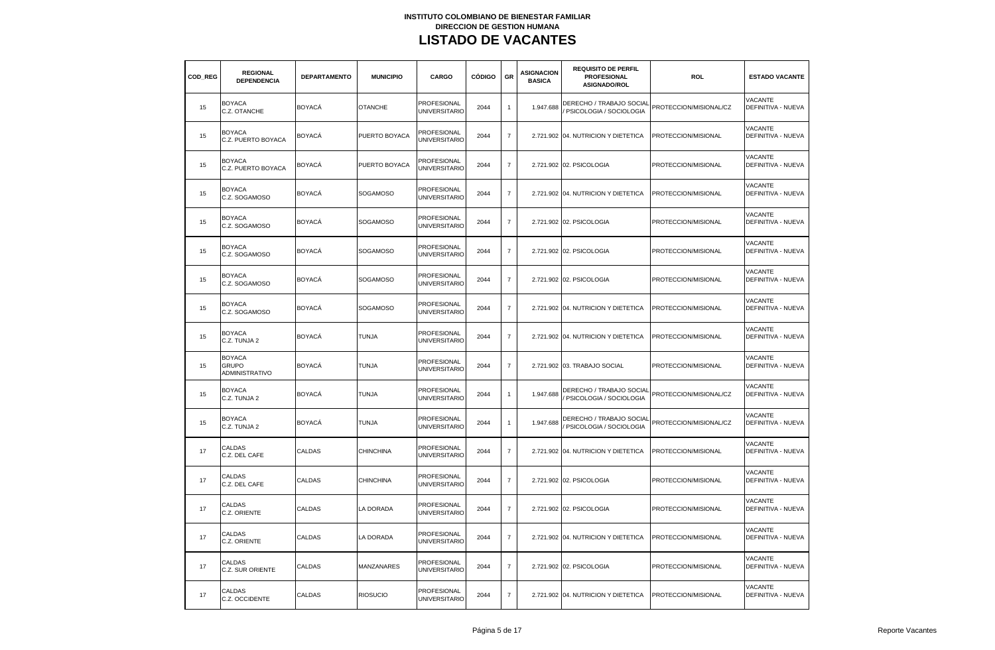| COD REG | <b>REGIONAL</b><br><b>DEPENDENCIA</b>                  | <b>DEPARTAMENTO</b> | <b>MUNICIPIO</b> | CARGO                                      | <b>CÓDIGO</b> | GR               | <b>ASIGNACION</b><br><b>BASICA</b> | <b>REQUISITO DE PERFIL</b><br><b>PROFESIONAL</b><br>ASIGNADO/ROL | <b>ROL</b>             | <b>ESTADO VACANTE</b>                       |
|---------|--------------------------------------------------------|---------------------|------------------|--------------------------------------------|---------------|------------------|------------------------------------|------------------------------------------------------------------|------------------------|---------------------------------------------|
| 15      | <b>BOYACA</b><br>C.Z. OTANCHE                          | <b>BOYACA</b>       | <b>OTANCHE</b>   | <b>PROFESIONAL</b><br><b>UNIVERSITARIO</b> | 2044          | $\mathbf{1}$     | 1.947.688                          | DERECHO / TRABAJO SOCIAL<br>PSICOLOGIA / SOCIOLOGIA              | PROTECCION/MISIONAL/CZ | VACANTE<br>DEFINITIVA - NUEVA               |
| 15      | <b>BOYACA</b><br>C.Z. PUERTO BOYACA                    | <b>BOYACÁ</b>       | PUERTO BOYACA    | PROFESIONAL<br><b>UNIVERSITARIO</b>        | 2044          | $\overline{7}$   |                                    | 2.721.902 04. NUTRICION Y DIETETICA                              | PROTECCION/MISIONAL    | <b>VACANTE</b><br><b>DEFINITIVA - NUEVA</b> |
| 15      | <b>BOYACA</b><br>C.Z. PUERTO BOYACA                    | <b>BOYACÁ</b>       | PUERTO BOYACA    | PROFESIONAL<br><b>UNIVERSITARIO</b>        | 2044          | $\overline{7}$   |                                    | 2.721.902 02. PSICOLOGIA                                         | PROTECCION/MISIONAL    | VACANTE<br><b>DEFINITIVA - NUEVA</b>        |
| 15      | <b>BOYACA</b><br>C.Z. SOGAMOSO                         | <b>BOYACÁ</b>       | <b>SOGAMOSO</b>  | PROFESIONAL<br><b>UNIVERSITARIO</b>        | 2044          | $\overline{7}$   |                                    | 2.721.902 04. NUTRICION Y DIETETICA                              | PROTECCION/MISIONAL    | VACANTE<br>DEFINITIVA - NUEVA               |
| 15      | <b>BOYACA</b><br>C.Z. SOGAMOSO                         | <b>BOYACÁ</b>       | SOGAMOSO         | PROFESIONAL<br>UNIVERSITARIO               | 2044          | $\overline{7}$   |                                    | 2.721.902 02. PSICOLOGIA                                         | PROTECCION/MISIONAL    | VACANTE<br>DEFINITIVA - NUEVA               |
| 15      | <b>BOYACA</b><br>C.Z. SOGAMOSO                         | <b>BOYACÁ</b>       | SOGAMOSO         | PROFESIONAL<br>UNIVERSITARIO               | 2044          | $\overline{7}$   |                                    | 2.721.902 02. PSICOLOGIA                                         | PROTECCION/MISIONAL    | VACANTE<br>DEFINITIVA - NUEVA               |
| 15      | <b>BOYACA</b><br>C.Z. SOGAMOSO                         | <b>BOYACÁ</b>       | SOGAMOSO         | PROFESIONAL<br>UNIVERSITARIO               | 2044          | $\overline{7}$   |                                    | 2.721.902 02. PSICOLOGIA                                         | PROTECCION/MISIONAL    | <b>VACANTE</b><br>DEFINITIVA - NUEVA        |
| 15      | <b>BOYACA</b><br>C.Z. SOGAMOSO                         | <b>BOYACÁ</b>       | <b>SOGAMOSO</b>  | PROFESIONAL<br><b>UNIVERSITARIO</b>        | 2044          | $\overline{7}$   |                                    | 2.721.902 04. NUTRICION Y DIETETICA                              | PROTECCION/MISIONAL    | VACANTE<br><b>DEFINITIVA - NUEVA</b>        |
| 15      | <b>BOYACA</b><br>C.Z. TUNJA 2                          | <b>BOYACÁ</b>       | TUNJA            | PROFESIONAL<br><b>UNIVERSITARIO</b>        | 2044          | $\overline{7}$   |                                    | 2.721.902 04. NUTRICION Y DIETETICA                              | PROTECCION/MISIONAL    | VACANTE<br><b>DEFINITIVA - NUEVA</b>        |
| 15      | <b>BOYACA</b><br><b>GRUPO</b><br><b>ADMINISTRATIVO</b> | <b>BOYACÁ</b>       | <b>TUNJA</b>     | PROFESIONAL<br><b>UNIVERSITARIO</b>        | 2044          | $\boldsymbol{7}$ |                                    | 2.721.902 03. TRABAJO SOCIAL                                     | PROTECCION/MISIONAL    | VACANTE<br><b>DEFINITIVA - NUEVA</b>        |
| 15      | <b>BOYACA</b><br>C.Z. TUNJA 2                          | <b>BOYACÁ</b>       | <b>TUNJA</b>     | PROFESIONAL<br>UNIVERSITARIO               | 2044          | $\mathbf{1}$     | 1.947.688                          | DERECHO / TRABAJO SOCIAL<br>PSICOLOGIA / SOCIOLOGIA              | PROTECCION/MISIONAL/CZ | <b>VACANTE</b><br>DEFINITIVA - NUEVA        |
| 15      | <b>BOYACA</b><br>C.Z. TUNJA 2                          | <b>BOYACÁ</b>       | <b>TUNJA</b>     | PROFESIONAL<br><b>UNIVERSITARIO</b>        | 2044          | $\mathbf{1}$     | 1.947.688                          | DERECHO / TRABAJO SOCIAL<br>PSICOLOGIA / SOCIOLOGIA              | PROTECCION/MISIONAL/CZ | VACANTE<br>DEFINITIVA - NUEVA               |
| 17      | CALDAS<br>C.Z. DEL CAFE                                | CALDAS              | <b>CHINCHINA</b> | PROFESIONAL<br><b>UNIVERSITARIO</b>        | 2044          | $\overline{7}$   |                                    | 2.721.902 04. NUTRICION Y DIETETICA                              | PROTECCION/MISIONAL    | VACANTE<br>DEFINITIVA - NUEVA               |
| 17      | CALDAS<br>C.Z. DEL CAFE                                | CALDAS              | CHINCHINA        | PROFESIONAL<br><b>UNIVERSITARIO</b>        | 2044          | $\overline{7}$   |                                    | 2.721.902 02. PSICOLOGIA                                         | PROTECCION/MISIONAL    | VACANTE<br>DEFINITIVA - NUEVA               |
| 17      | CALDAS<br>C.Z. ORIENTE                                 | CALDAS              | LA DORADA        | PROFESIONAL<br><b>UNIVERSITARIO</b>        | 2044          | $\overline{7}$   |                                    | 2.721.902 02. PSICOLOGIA                                         | PROTECCION/MISIONAL    | VACANTE<br>DEFINITIVA - NUEVA               |
| 17      | CALDAS<br>C.Z. ORIENTE                                 | CALDAS              | LA DORADA        | PROFESIONAL<br><b>UNIVERSITARIO</b>        | 2044          | $\overline{7}$   |                                    | 2.721.902 04. NUTRICION Y DIETETICA                              | PROTECCION/MISIONAL    | <b>VACANTE</b><br>DEFINITIVA - NUEVA        |
| 17      | CALDAS<br>C.Z. SUR ORIENTE                             | CALDAS              | MANZANARES       | PROFESIONAL<br><b>UNIVERSITARIO</b>        | 2044          | $\boldsymbol{7}$ |                                    | 2.721.902 02. PSICOLOGIA                                         | PROTECCION/MISIONAL    | VACANTE<br>DEFINITIVA - NUEVA               |
| 17      | CALDAS<br>C.Z. OCCIDENTE                               | CALDAS              | <b>RIOSUCIO</b>  | PROFESIONAL<br><b>UNIVERSITARIO</b>        | 2044          | $\overline{7}$   |                                    | 2.721.902 04. NUTRICION Y DIETETICA                              | PROTECCION/MISIONAL    | <b>VACANTE</b><br><b>DEFINITIVA - NUEVA</b> |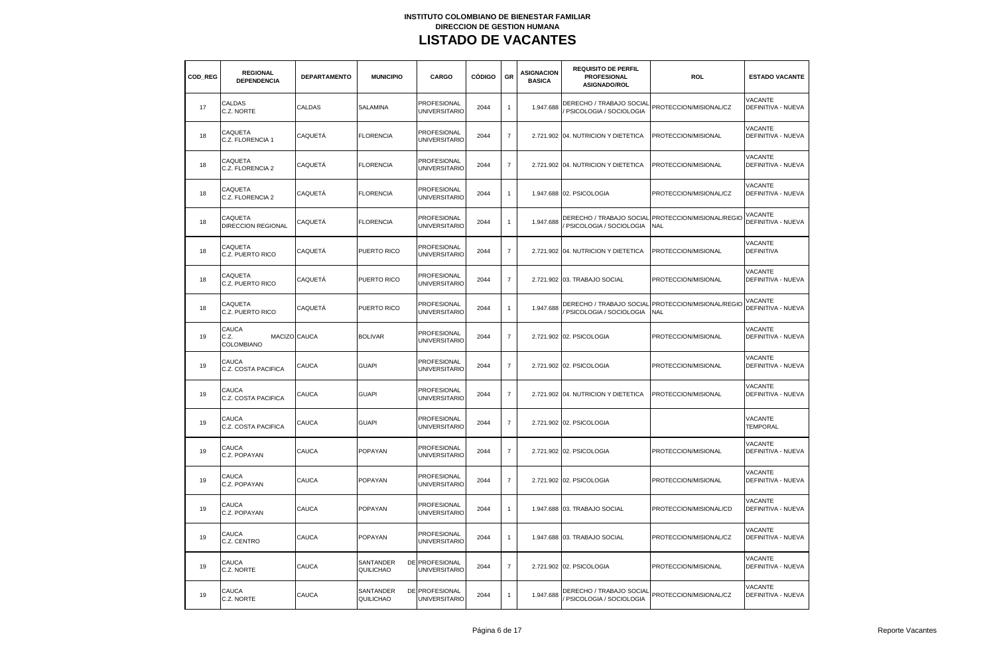| COD REG | <b>REGIONAL</b><br><b>DEPENDENCIA</b>       | <b>DEPARTAMENTO</b> | <b>MUNICIPIO</b>       | CARGO                                  | <b>CÓDIGO</b> | GR               | <b>ASIGNACION</b><br><b>BASICA</b> | <b>REQUISITO DE PERFIL</b><br>PROFESIONAL<br><b>ASIGNADO/ROL</b>           | <b>ROL</b>                                                       | <b>ESTADO VACANTE</b>                       |
|---------|---------------------------------------------|---------------------|------------------------|----------------------------------------|---------------|------------------|------------------------------------|----------------------------------------------------------------------------|------------------------------------------------------------------|---------------------------------------------|
| 17      | CALDAS<br>C.Z. NORTE                        | CALDAS              | SALAMINA               | PROFESIONAL<br><b>UNIVERSITARIO</b>    | 2044          | $\mathbf{1}$     | 1.947.688                          | DERECHO / TRABAJO SOCIAL<br>PSICOLOGIA / SOCIOLOGIA                        | PROTECCION/MISIONAL/CZ                                           | VACANTE<br>DEFINITIVA - NUEVA               |
| 18      | CAQUETA<br>C.Z. FLORENCIA 1                 | CAQUETÁ             | <b>FLORENCIA</b>       | PROFESIONAL<br><b>UNIVERSITARIO</b>    | 2044          | $\overline{7}$   |                                    | 2.721.902 04. NUTRICION Y DIETETICA                                        | PROTECCION/MISIONAL                                              | VACANTE<br>DEFINITIVA - NUEVA               |
| 18      | CAQUETA<br>C.Z. FLORENCIA 2                 | CAQUETÁ             | <b>FLORENCIA</b>       | PROFESIONAL<br><b>UNIVERSITARIO</b>    | 2044          | $\overline{7}$   |                                    | 2.721.902 04. NUTRICION Y DIETETICA                                        | PROTECCION/MISIONAL                                              | <b>VACANTE</b><br>DEFINITIVA - NUEVA        |
| 18      | CAQUETA<br>C.Z. FLORENCIA 2                 | CAQUETÁ             | <b>FLORENCIA</b>       | PROFESIONAL<br><b>UNIVERSITARIO</b>    | 2044          | $\overline{1}$   |                                    | 1.947.688 02. PSICOLOGIA                                                   | PROTECCION/MISIONAL/CZ                                           | VACANTE<br>DEFINITIVA - NUEVA               |
| 18      | CAQUETA<br>DIRECCION REGIONAL               | CAQUETÁ             | <b>FLORENCIA</b>       | PROFESIONAL<br>UNIVERSITARIO           | 2044          | $\mathbf{1}$     | 1.947.688                          | PSICOLOGIA / SOCIOLOGIA                                                    | DERECHO / TRABAJO SOCIAL PROTECCION/MISIONAL/REGIO<br><b>NAL</b> | VACANTE<br>DEFINITIVA - NUEVA               |
| 18      | CAQUETA<br>C.Z. PUERTO RICO                 | CAQUETA             | PUERTO RICO            | PROFESIONAL<br><b>UNIVERSITARIC</b>    | 2044          | $\overline{7}$   |                                    | 2.721.902 04. NUTRICION Y DIETETICA                                        | PROTECCION/MISIONAL                                              | VACANTE<br><b>DEFINITIVA</b>                |
| 18      | CAQUETA<br>C.Z. PUERTO RICO                 | CAQUETÁ             | PUERTO RICO            | PROFESIONAL<br><b>UNIVERSITARIO</b>    | 2044          | $\overline{7}$   |                                    | 2.721.902 03. TRABAJO SOCIAL                                               | PROTECCION/MISIONAL                                              | VACANTE<br>DEFINITIVA - NUEVA               |
| 18      | CAQUETA<br>C.Z. PUERTO RICO                 | CAQUETÁ             | PUERTO RICO            | PROFESIONAL<br><b>UNIVERSITARIO</b>    | 2044          | $\mathbf{1}$     | 1.947.688                          | PSICOLOGIA / SOCIOLOGIA                                                    | DERECHO / TRABAJO SOCIAL PROTECCION/MISIONAL/REGIO<br><b>NAL</b> | VACANTE<br>DEFINITIVA - NUEVA               |
| 19      | CAUCA<br>MACIZO CAUCA<br>C.Z.<br>COLOMBIANO |                     | <b>BOLIVAR</b>         | PROFESIONAL<br><b>UNIVERSITARIO</b>    | 2044          | $\overline{7}$   |                                    | 2.721.902 02. PSICOLOGIA                                                   | PROTECCION/MISIONAL                                              | VACANTE<br>DEFINITIVA - NUEVA               |
| 19      | CAUCA<br>C.Z. COSTA PACIFICA                | CAUCA               | <b>GUAPI</b>           | PROFESIONAL<br>UNIVERSITARIO           | 2044          | $\overline{7}$   |                                    | 2.721.902 02. PSICOLOGIA                                                   | PROTECCION/MISIONAL                                              | VACANTE<br>DEFINITIVA - NUEVA               |
| 19      | CAUCA<br>C.Z. COSTA PACIFICA                | CAUCA               | <b>GUAPI</b>           | PROFESIONAL<br><b>UNIVERSITARIO</b>    | 2044          | $\overline{7}$   |                                    | 2.721.902 04. NUTRICION Y DIETETICA                                        | PROTECCION/MISIONAL                                              | VACANTE<br><b>DEFINITIVA - NUEVA</b>        |
| 19      | CAUCA<br>C.Z. COSTA PACIFICA                | CAUCA               | <b>GUAPI</b>           | PROFESIONAL<br><b>UNIVERSITARIO</b>    | 2044          | $\bf 7$          |                                    | 2.721.902 02. PSICOLOGIA                                                   |                                                                  | VACANTE<br><b>TEMPORAL</b>                  |
| 19      | CAUCA<br>C.Z. POPAYAN                       | CAUCA               | <b>POPAYAN</b>         | PROFESIONAL<br><b>UNIVERSITARIO</b>    | 2044          | $\overline{7}$   |                                    | 2.721.902 02. PSICOLOGIA                                                   | PROTECCION/MISIONAL                                              | VACANTE<br><b>DEFINITIVA - NUEVA</b>        |
| 19      | CAUCA<br>C.Z. POPAYAN                       | CAUCA               | <b>POPAYAN</b>         | PROFESIONAL<br><b>UNIVERSITARIO</b>    | 2044          | $\overline{7}$   |                                    | 2.721.902 02. PSICOLOGIA                                                   | PROTECCION/MISIONAL                                              | <b>VACANTE</b><br><b>DEFINITIVA - NUEVA</b> |
| 19      | CAUCA<br>C.Z. POPAYAN                       | CAUCA               | <b>POPAYAN</b>         | PROFESIONAL<br>UNIVERSITARIO           | 2044          | $\mathbf{1}$     |                                    | 1.947.688 03. TRABAJO SOCIAL                                               | PROTECCION/MISIONAL/CD                                           | VACANTE<br><b>DEFINITIVA - NUEVA</b>        |
| 19      | CAUCA<br>C.Z. CENTRO                        | CAUCA               | <b>POPAYAN</b>         | PROFESIONAL<br><b>UNIVERSITARIO</b>    | 2044          | $\mathbf{1}$     |                                    | 1.947.688 03. TRABAJO SOCIAL                                               | PROTECCION/MISIONAL/CZ                                           | VACANTE<br>DEFINITIVA - NUEVA               |
| 19      | CAUCA<br>C.Z. NORTE                         | CAUCA               | SANTANDER<br>QUILICHAO | DE PROFESIONAL<br><b>UNIVERSITARIO</b> | 2044          | $\boldsymbol{7}$ |                                    | 2.721.902 02. PSICOLOGIA                                                   | PROTECCION/MISIONAL                                              | <b>VACANTE</b><br>DEFINITIVA - NUEVA        |
| 19      | CAUCA<br>C.Z. NORTE                         | CAUCA               | SANTANDER<br>QUILICHAO | DE PROFESIONAL<br><b>UNIVERSITARIO</b> | 2044          | $\mathbf{1}$     | 1.947.688                          | DERECHO / TRABAJO SOCIAL PROTECCION/MISIONAL/CZ<br>PSICOLOGIA / SOCIOLOGIA |                                                                  | <b>VACANTE</b><br><b>DEFINITIVA - NUEVA</b> |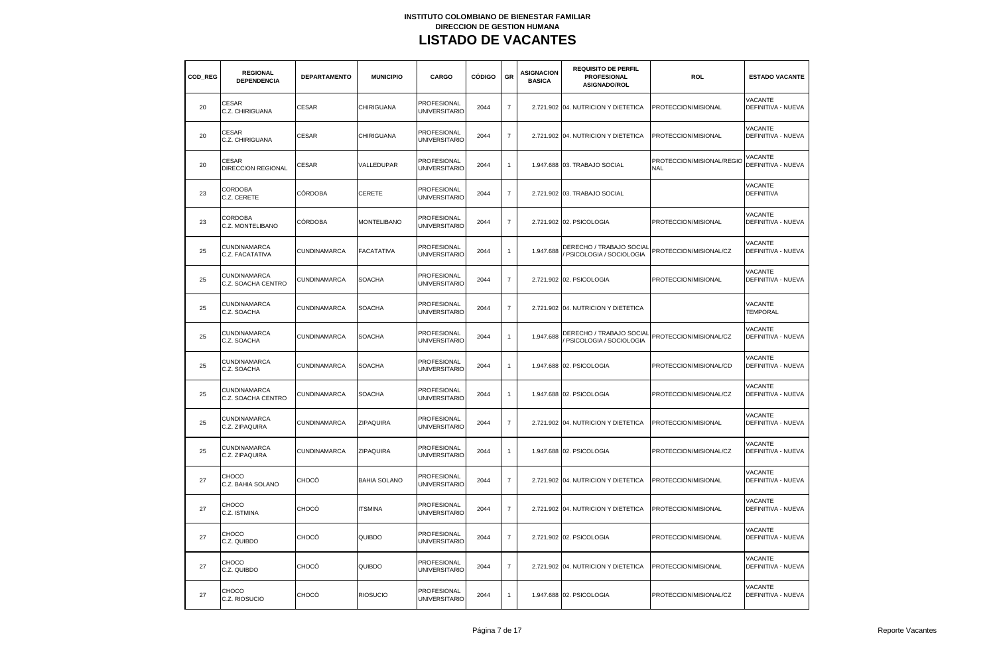| COD REG | <b>REGIONAL</b><br><b>DEPENDENCIA</b>     | <b>DEPARTAMENTO</b> | <b>MUNICIPIO</b>    | CARGO                                      | <b>CÓDIGO</b> | GR             | <b>ASIGNACION</b><br><b>BASICA</b> | <b>REQUISITO DE PERFIL</b><br><b>PROFESIONAL</b><br>ASIGNADO/ROL | <b>ROL</b>                              | <b>ESTADO VACANTE</b>                |
|---------|-------------------------------------------|---------------------|---------------------|--------------------------------------------|---------------|----------------|------------------------------------|------------------------------------------------------------------|-----------------------------------------|--------------------------------------|
| 20      | <b>CESAR</b><br>C.Z. CHIRIGUANA           | <b>CESAR</b>        | CHIRIGUANA          | <b>PROFESIONAL</b><br><b>UNIVERSITARIO</b> | 2044          | $\overline{7}$ |                                    | 2.721.902 04. NUTRICION Y DIETETICA                              | PROTECCION/MISIONAL                     | VACANTE<br>DEFINITIVA - NUEVA        |
| 20      | <b>CESAR</b><br>C.Z. CHIRIGUANA           | <b>CESAR</b>        | <b>CHIRIGUANA</b>   | PROFESIONAL<br><b>UNIVERSITARIO</b>        | 2044          | $\overline{7}$ |                                    | 2.721.902 04. NUTRICION Y DIETETICA                              | PROTECCION/MISIONAL                     | VACANTE<br>DEFINITIVA - NUEVA        |
| 20      | CESAR<br>DIRECCION REGIONAL               | <b>CESAR</b>        | VALLEDUPAR          | PROFESIONAL<br><b>UNIVERSITARIO</b>        | 2044          | $\overline{1}$ |                                    | 1.947.688 03. TRABAJO SOCIAL                                     | PROTECCION/MISIONAL/REGIO<br><b>NAL</b> | VACANTE<br>DEFINITIVA - NUEVA        |
| 23      | <b>CORDOBA</b><br>C.Z. CERETE             | <b>CÓRDOBA</b>      | CERETE              | PROFESIONAL<br><b>UNIVERSITARIO</b>        | 2044          | $\overline{7}$ |                                    | 2.721.902 03. TRABAJO SOCIAL                                     |                                         | VACANTE<br><b>DEFINITIVA</b>         |
| 23      | CORDOBA<br>C.Z. MONTELIBANO               | <b>CÓRDOBA</b>      | <b>MONTELIBANO</b>  | PROFESIONAL<br><b>UNIVERSITARIO</b>        | 2044          | $\overline{7}$ |                                    | 2.721.902 02. PSICOLOGIA                                         | PROTECCION/MISIONAL                     | VACANTE<br><b>DEFINITIVA - NUEVA</b> |
| 25      | CUNDINAMARCA<br>C.Z. FACATATIVA           | CUNDINAMARCA        | <b>FACATATIVA</b>   | PROFESIONAL<br><b>UNIVERSITARIO</b>        | 2044          | $\mathbf{1}$   | 1.947.688                          | DERECHO / TRABAJO SOCIAL<br>PSICOLOGIA / SOCIOLOGIA              | PROTECCION/MISIONAL/CZ                  | <b>VACANTE</b><br>DEFINITIVA - NUEVA |
| 25      | <b>CUNDINAMARCA</b><br>C.Z. SOACHA CENTRO | CUNDINAMARCA        | <b>SOACHA</b>       | PROFESIONAL<br><b>UNIVERSITARIO</b>        | 2044          | $\overline{7}$ |                                    | 2.721.902 02. PSICOLOGIA                                         | PROTECCION/MISIONAL                     | VACANTE<br>DEFINITIVA - NUEVA        |
| 25      | CUNDINAMARCA<br>C.Z. SOACHA               | CUNDINAMARCA        | <b>SOACHA</b>       | PROFESIONAL<br><b>UNIVERSITARIO</b>        | 2044          | $\overline{7}$ |                                    | 2.721.902 04. NUTRICION Y DIETETICA                              |                                         | VACANTE<br><b>TEMPORAL</b>           |
| 25      | <b>CUNDINAMARCA</b><br>C.Z. SOACHA        | CUNDINAMARCA        | <b>SOACHA</b>       | PROFESIONAL<br><b>UNIVERSITARIO</b>        | 2044          | $\mathbf{1}$   | 1.947.688                          | DERECHO / TRABAJO SOCIAL<br>PSICOLOGIA / SOCIOLOGIA              | PROTECCION/MISIONAL/CZ                  | VACANTE<br>DEFINITIVA - NUEVA        |
| 25      | CUNDINAMARCA<br>C.Z. SOACHA               | <b>CUNDINAMARCA</b> | <b>SOACHA</b>       | PROFESIONAL<br><b>UNIVERSITARIO</b>        | 2044          | $\mathbf{1}$   | 1.947.688                          | 02. PSICOLOGIA                                                   | PROTECCION/MISIONAL/CD                  | VACANTE<br><b>DEFINITIVA - NUEVA</b> |
| 25      | CUNDINAMARCA<br>C.Z. SOACHA CENTRO        | CUNDINAMARCA        | <b>SOACHA</b>       | <b>PROFESIONAL</b><br><b>UNIVERSITARIO</b> | 2044          | $\mathbf{1}$   |                                    | 1.947.688 02. PSICOLOGIA                                         | PROTECCION/MISIONAL/CZ                  | VACANTE<br>DEFINITIVA - NUEVA        |
| 25      | <b>CUNDINAMARCA</b><br>C.Z. ZIPAQUIRA     | CUNDINAMARCA        | <b>ZIPAQUIRA</b>    | PROFESIONAL<br><b>UNIVERSITARIO</b>        | 2044          | $\overline{7}$ |                                    | 2.721.902 04. NUTRICION Y DIETETICA                              | PROTECCION/MISIONAL                     | VACANTE<br>DEFINITIVA - NUEVA        |
| 25      | CUNDINAMARCA<br>C.Z. ZIPAQUIRA            | CUNDINAMARCA        | ZIPAQUIRA           | <b>PROFESIONAL</b><br><b>UNIVERSITARIO</b> | 2044          | $\mathbf{1}$   |                                    | 1.947.688 02. PSICOLOGIA                                         | PROTECCION/MISIONAL/CZ                  | <b>VACANTE</b><br>DEFINITIVA - NUEVA |
| 27      | CHOCO<br>C.Z. BAHIA SOLANO                | CHOCÓ               | <b>BAHIA SOLANO</b> | PROFESIONAL<br><b>UNIVERSITARIO</b>        | 2044          | $\overline{7}$ |                                    | 2.721.902 04. NUTRICION Y DIETETICA                              | PROTECCION/MISIONAL                     | VACANTE<br>DEFINITIVA - NUEVA        |
| 27      | CHOCO<br>C.Z. ISTMINA                     | CHOCÓ               | <b>ITSMINA</b>      | PROFESIONAL<br><b>UNIVERSITARIO</b>        | 2044          | $\overline{7}$ |                                    | 2.721.902 04. NUTRICION Y DIETETICA                              | PROTECCION/MISIONAL                     | VACANTE<br>DEFINITIVA - NUEVA        |
| 27      | CHOCO<br>C.Z. QUIBDO                      | CHOCÓ               | QUIBDO              | PROFESIONAL<br><b>UNIVERSITARIO</b>        | 2044          | $\overline{7}$ |                                    | 2.721.902 02. PSICOLOGIA                                         | PROTECCION/MISIONAL                     | VACANTE<br>DEFINITIVA - NUEVA        |
| 27      | CHOCO<br>C.Z. QUIBDO                      | CHOCÓ               | QUIBDO              | PROFESIONAL<br><b>UNIVERSITARIO</b>        | 2044          | $\overline{7}$ |                                    | 2.721.902 04. NUTRICION Y DIETETICA                              | PROTECCION/MISIONAL                     | <b>VACANTE</b><br>DEFINITIVA - NUEVA |
| 27      | <b>CHOCO</b><br>C.Z. RIOSUCIO             | CHOCÓ               | <b>RIOSUCIO</b>     | PROFESIONAL<br><b>UNIVERSITARIO</b>        | 2044          | $\mathbf{1}$   |                                    | 1.947.688 02. PSICOLOGIA                                         | PROTECCION/MISIONAL/CZ                  | <b>VACANTE</b><br>DEFINITIVA - NUEVA |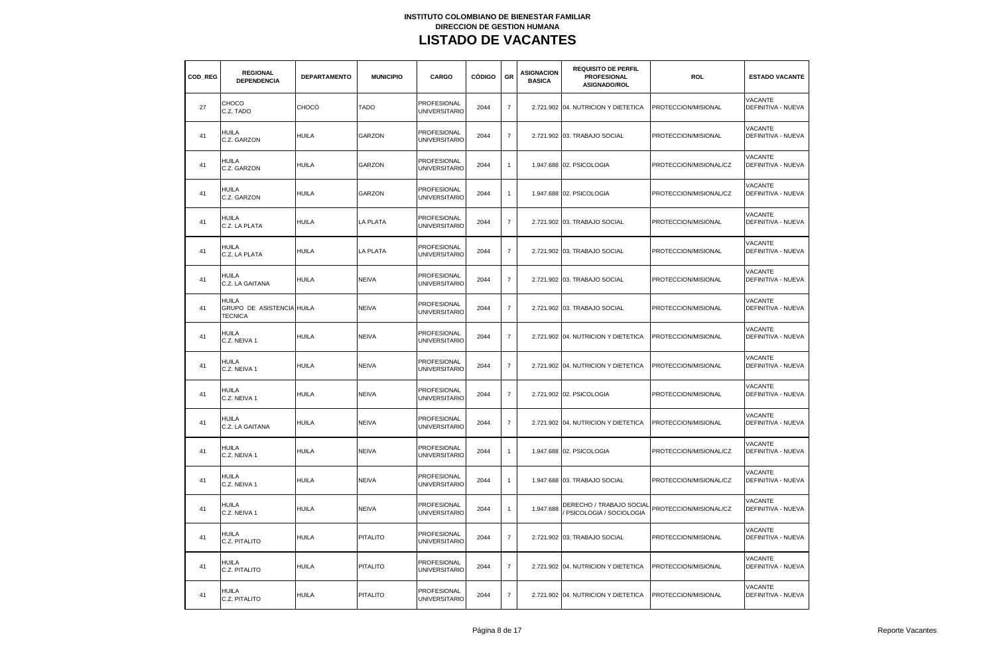| COD REG | <b>REGIONAL</b><br><b>DEPENDENCIA</b>                | <b>DEPARTAMENTO</b> | <b>MUNICIPIO</b> | CARGO                                      | <b>CÓDIGO</b> | GR                       | ASIGNACION<br><b>BASICA</b> | <b>REQUISITO DE PERFIL</b><br><b>PROFESIONAL</b><br><b>ASIGNADO/ROL</b> | <b>ROL</b>             | <b>ESTADO VACANTE</b>                |
|---------|------------------------------------------------------|---------------------|------------------|--------------------------------------------|---------------|--------------------------|-----------------------------|-------------------------------------------------------------------------|------------------------|--------------------------------------|
| 27      | CHOCO<br>C.Z. TADO                                   | CHOCÓ               | <b>TADO</b>      | PROFESIONAL<br><b>UNIVERSITARIO</b>        | 2044          | $\overline{7}$           |                             | 2.721.902 04. NUTRICION Y DIETETICA                                     | PROTECCION/MISIONAL    | VACANTE<br>DEFINITIVA - NUEVA        |
| 41      | HUILA<br>C.Z. GARZON                                 | <b>HUILA</b>        | GARZON           | PROFESIONAL<br><b>UNIVERSITARIO</b>        | 2044          | $\overline{7}$           |                             | 2.721.902 03. TRABAJO SOCIAL                                            | PROTECCION/MISIONAL    | VACANTE<br>DEFINITIVA - NUEVA        |
| 41      | HUILA<br>C.Z. GARZON                                 | <b>HUILA</b>        | GARZON           | <b>PROFESIONAL</b><br><b>UNIVERSITARIO</b> | 2044          | $\overline{1}$           |                             | 1.947.688 02. PSICOLOGIA                                                | PROTECCION/MISIONAL/CZ | VACANTE<br>DEFINITIVA - NUEVA        |
| 41      | HUILA<br>C.Z. GARZON                                 | HUILA               | GARZON           | PROFESIONAL<br><b>UNIVERSITARIO</b>        | 2044          | $\overline{1}$           |                             | 1.947.688 02. PSICOLOGIA                                                | PROTECCION/MISIONAL/CZ | VACANTE<br>DEFINITIVA - NUEVA        |
| 41      | <b>HUILA</b><br>C.Z. LA PLATA                        | HUILA               | LA PLATA         | PROFESIONAL<br>UNIVERSITARIO               | 2044          | $\overline{7}$           |                             | 2.721.902 03. TRABAJO SOCIAL                                            | PROTECCION/MISIONAL    | VACANTE<br><b>DEFINITIVA - NUEVA</b> |
| 41      | HUILA<br>C.Z. LA PLATA                               | <b>HUILA</b>        | LA PLATA         | PROFESIONAL<br><b>UNIVERSITARIO</b>        | 2044          | $\overline{7}$           |                             | 2.721.902 03. TRABAJO SOCIAL                                            | PROTECCION/MISIONAL    | VACANTE<br>DEFINITIVA - NUEVA        |
| 41      | HUILA<br>C.Z. LA GAITANA                             | <b>HUILA</b>        | <b>NEIVA</b>     | PROFESIONAL<br><b>UNIVERSITARIO</b>        | 2044          | $\overline{7}$           |                             | 2.721.902 03. TRABAJO SOCIAL                                            | PROTECCION/MISIONAL    | VACANTE<br>DEFINITIVA - NUEVA        |
| 41      | HUILA<br>GRUPO DE ASISTENCIA HUILA<br><b>TECNICA</b> |                     | NEIVA            | PROFESIONAL<br><b>UNIVERSITARIO</b>        | 2044          | $\overline{7}$           |                             | 2.721.902 03. TRABAJO SOCIAL                                            | PROTECCION/MISIONAL    | VACANTE<br>DEFINITIVA - NUEVA        |
| 41      | HUILA<br>C.Z. NEIVA 1                                | HUILA               | <b>NEIVA</b>     | PROFESIONAL<br><b>UNIVERSITARIO</b>        | 2044          | $\overline{7}$           |                             | 2.721.902 04. NUTRICION Y DIETETICA                                     | PROTECCION/MISIONAL    | VACANTE<br>DEFINITIVA - NUEVA        |
| 41      | HUILA<br>C.Z. NEIVA 1                                | <b>HUILA</b>        | NEIVA            | PROFESIONAL<br>UNIVERSITARIO               | 2044          | $\overline{7}$           |                             | 2.721.902 04. NUTRICION Y DIETETICA                                     | PROTECCION/MISIONAL    | VACANTE<br>DEFINITIVA - NUEVA        |
| 41      | <b>HUILA</b><br>C.Z. NEIVA 1                         | HUILA               | NEIVA            | <b>PROFESIONAL</b><br><b>UNIVERSITARIO</b> | 2044          | $\overline{7}$           |                             | 2.721.902 02. PSICOLOGIA                                                | PROTECCION/MISIONAL    | VACANTE<br>DEFINITIVA - NUEVA        |
| 41      | HUILA<br>C.Z. LA GAITANA                             | <b>HUILA</b>        | NEIVA            | PROFESIONAL<br><b>UNIVERSITARIO</b>        | 2044          | $\overline{7}$           |                             | 2.721.902 04. NUTRICION Y DIETETICA                                     | PROTECCION/MISIONAL    | <b>VACANTE</b><br>DEFINITIVA - NUEVA |
| 41      | HUILA<br>C.Z. NEIVA 1                                | <b>HUILA</b>        | <b>NEIVA</b>     | PROFESIONAL<br><b>UNIVERSITARIO</b>        | 2044          | $\overline{1}$           |                             | 1.947.688 02. PSICOLOGIA                                                | PROTECCION/MISIONAL/CZ | VACANTE<br><b>DEFINITIVA - NUEVA</b> |
| 41      | HUILA<br>C.Z. NEIVA 1                                | HUILA               | NEIVA            | PROFESIONAL<br><b>UNIVERSITARIO</b>        | 2044          | $\mathbf{1}$             |                             | 1.947.688 03. TRABAJO SOCIAL                                            | PROTECCION/MISIONAL/CZ | VACANTE<br>DEFINITIVA - NUEVA        |
| 41      | HUILA<br>C.Z. NEIVA 1                                | HUILA               | NEIVA            | PROFESIONAL<br>UNIVERSITARIO               | 2044          | $\overline{1}$           | 1.947.688                   | DERECHO / TRABAJO SOCIAI<br>PSICOLOGIA / SOCIOLOGIA                     | PROTECCION/MISIONAL/CZ | VACANTE<br>DEFINITIVA - NUEVA        |
| 41      | HUILA<br>C.Z. PITALITO                               | HUILA               | <b>PITALITO</b>  | PROFESIONAL<br><b>UNIVERSITARIO</b>        | 2044          | $\overline{7}$           |                             | 2.721.902 03. TRABAJO SOCIAL                                            | PROTECCION/MISIONAL    | <b>VACANTE</b><br>DEFINITIVA - NUEVA |
| 41      | HUILA<br>C.Z. PITALITO                               | <b>HUILA</b>        | <b>PITALITO</b>  | PROFESIONAL<br><b>UNIVERSITARIO</b>        | 2044          | $\overline{\mathcal{I}}$ |                             | 2.721.902 04. NUTRICION Y DIETETICA                                     | PROTECCION/MISIONAL    | VACANTE<br>DEFINITIVA - NUEVA        |
| 41      | HUILA<br>C.Z. PITALITO                               | <b>HUILA</b>        | <b>PITALITO</b>  | PROFESIONAL<br><b>UNIVERSITARIO</b>        | 2044          | $\overline{7}$           |                             | 2.721.902 04. NUTRICION Y DIETETICA                                     | PROTECCION/MISIONAL    | <b>VACANTE</b><br>DEFINITIVA - NUEVA |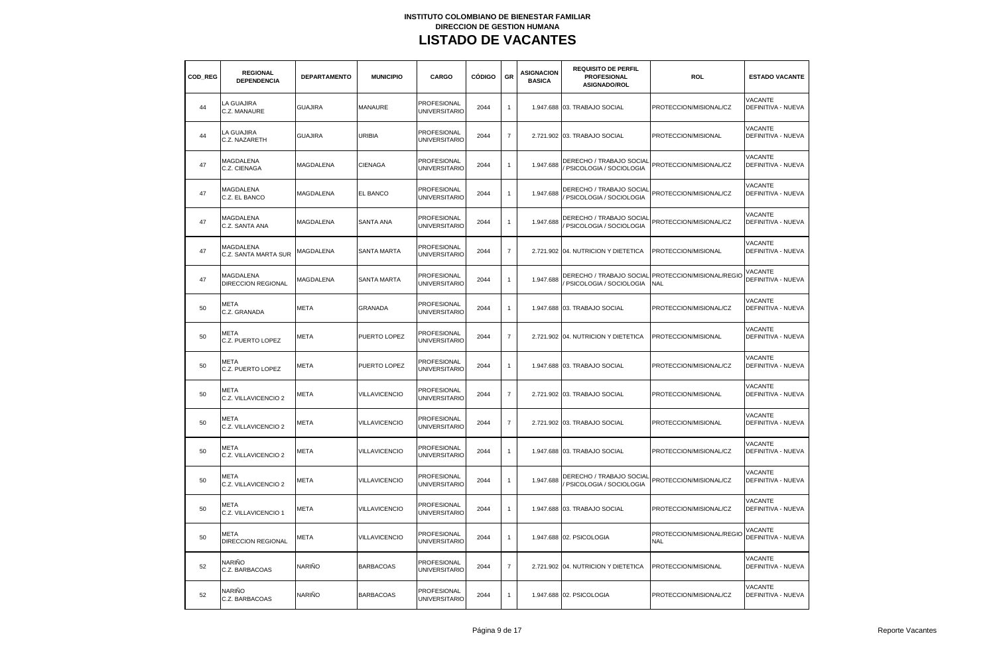| COD REG | <b>REGIONAL</b><br><b>DEPENDENCIA</b>         | <b>DEPARTAMENTO</b> | <b>MUNICIPIO</b>     | CARGO                                      | <b>CÓDIGO</b> | GR             | <b>ASIGNACION</b><br><b>BASICA</b> | <b>REQUISITO DE PERFIL</b><br><b>PROFESIONAL</b><br>ASIGNADO/ROL | ROL                                                              | <b>ESTADO VACANTE</b>                |
|---------|-----------------------------------------------|---------------------|----------------------|--------------------------------------------|---------------|----------------|------------------------------------|------------------------------------------------------------------|------------------------------------------------------------------|--------------------------------------|
| 44      | LA GUAJIRA<br>C.Z. MANAURE                    | <b>GUAJIRA</b>      | MANAURE              | PROFESIONAL<br><b>UNIVERSITARIO</b>        | 2044          | $\mathbf{1}$   |                                    | 1.947.688 03. TRABAJO SOCIAL                                     | PROTECCION/MISIONAL/CZ                                           | VACANTE<br>DEFINITIVA - NUEVA        |
| 44      | <b>LA GUAJIRA</b><br>C.Z. NAZARETH            | <b>GUAJIRA</b>      | URIBIA               | <b>PROFESIONAL</b><br><b>UNIVERSITARIO</b> | 2044          | $\overline{7}$ |                                    | 2.721.902 03. TRABAJO SOCIAL                                     | PROTECCION/MISIONAL                                              | <b>VACANTE</b><br>DEFINITIVA - NUEVA |
| 47      | MAGDALENA<br>C.Z. CIENAGA                     | <b>MAGDALENA</b>    | <b>CIENAGA</b>       | PROFESIONAL<br><b>UNIVERSITARIO</b>        | 2044          | $\mathbf{1}$   | 1.947.688                          | DERECHO / TRABAJO SOCIAL<br>PSICOLOGIA / SOCIOLOGIA              | PROTECCION/MISIONAL/CZ                                           | VACANTE<br><b>DEFINITIVA - NUEVA</b> |
| 47      | MAGDALENA<br>C.Z. EL BANCO                    | MAGDALENA           | EL BANCO             | <b>PROFESIONAL</b><br><b>UNIVERSITARIO</b> | 2044          | $\mathbf{1}$   | 1.947.688                          | DERECHO / TRABAJO SOCIAL<br>PSICOLOGIA / SOCIOLOGIA              | PROTECCION/MISIONAL/CZ                                           | VACANTE<br>DEFINITIVA - NUEVA        |
| 47      | <b>MAGDALENA</b><br>C.Z. SANTA ANA            | MAGDALENA           | <b>SANTA ANA</b>     | PROFESIONAL<br><b>UNIVERSITARIO</b>        | 2044          | $\mathbf{1}$   | 1.947.688                          | DERECHO / TRABAJO SOCIAL<br>PSICOLOGIA / SOCIOLOGIA              | PROTECCION/MISIONAL/CZ                                           | VACANTE<br>DEFINITIVA - NUEVA        |
| 47      | MAGDALENA<br>C.Z. SANTA MARTA SUR             | MAGDALENA           | <b>SANTA MARTA</b>   | PROFESIONAL<br><b>UNIVERSITARIO</b>        | 2044          | $\overline{7}$ |                                    | 2.721.902 04. NUTRICION Y DIETETICA                              | PROTECCION/MISIONAL                                              | VACANTE<br>DEFINITIVA - NUEVA        |
| 47      | <b>MAGDALENA</b><br><b>DIRECCION REGIONAL</b> | MAGDALENA           | SANTA MARTA          | PROFESIONAL<br><b>UNIVERSITARIO</b>        | 2044          | $\mathbf{1}$   | 1.947.688                          | PSICOLOGIA / SOCIOLOGIA                                          | DERECHO / TRABAJO SOCIAL PROTECCION/MISIONAL/REGIO<br><b>NAL</b> | VACANTE<br>DEFINITIVA - NUEVA        |
| 50      | <b>META</b><br>C.Z. GRANADA                   | <b>META</b>         | <b>GRANADA</b>       | PROFESIONAL<br><b>UNIVERSITARIO</b>        | 2044          | $\mathbf{1}$   |                                    | 1.947.688 03. TRABAJO SOCIAL                                     | PROTECCION/MISIONAL/CZ                                           | VACANTE<br>DEFINITIVA - NUEVA        |
| 50      | <b>META</b><br>C.Z. PUERTO LOPEZ              | <b>META</b>         | PUERTO LOPEZ         | PROFESIONAL<br><b>UNIVERSITARIO</b>        | 2044          | $\overline{7}$ |                                    | 2.721.902 04. NUTRICION Y DIETETICA                              | PROTECCION/MISIONAL                                              | VACANTE<br>DEFINITIVA - NUEVA        |
| 50      | <b>META</b><br>C.Z. PUERTO LOPEZ              | META                | PUERTO LOPEZ         | PROFESIONAL<br><b>UNIVERSITARIO</b>        | 2044          | $\mathbf{1}$   |                                    | 1.947.688 03. TRABAJO SOCIAL                                     | PROTECCION/MISIONAL/CZ                                           | VACANTE<br><b>DEFINITIVA - NUEVA</b> |
| 50      | META<br>C.Z. VILLAVICENCIO 2                  | META                | VILLAVICENCIO        | PROFESIONAL<br><b>UNIVERSITARIO</b>        | 2044          | $\overline{7}$ |                                    | 2.721.902 03. TRABAJO SOCIAL                                     | PROTECCION/MISIONAL                                              | VACANTE<br>DEFINITIVA - NUEVA        |
| 50      | <b>META</b><br>C.Z. VILLAVICENCIO 2           | META                | <b>VILLAVICENCIO</b> | <b>PROFESIONAL</b><br><b>UNIVERSITARIO</b> | 2044          | $\overline{7}$ |                                    | 2.721.902 03. TRABAJO SOCIAL                                     | PROTECCION/MISIONAL                                              | VACANTE<br>DEFINITIVA - NUEVA        |
| 50      | META<br>C.Z. VILLAVICENCIO 2                  | META                | <b>VILLAVICENCIO</b> | PROFESIONAL<br><b>UNIVERSITARIO</b>        | 2044          | $\mathbf{1}$   |                                    | 1.947.688 03. TRABAJO SOCIAL                                     | PROTECCION/MISIONAL/CZ                                           | VACANTE<br><b>DEFINITIVA - NUEVA</b> |
| 50      | META<br>C.Z. VILLAVICENCIO 2                  | META                | <b>VILLAVICENCIO</b> | PROFESIONAL<br><b>UNIVERSITARIO</b>        | 2044          | $\mathbf{1}$   | 1.947.688                          | DERECHO / TRABAJO SOCIAI<br>PSICOLOGIA / SOCIOLOGIA              | PROTECCION/MISIONAL/CZ                                           | VACANTE<br>DEFINITIVA - NUEVA        |
| 50      | META<br>C.Z. VILLAVICENCIO 1                  | META                | <b>VILLAVICENCIO</b> | PROFESIONAL<br><b>UNIVERSITARIO</b>        | 2044          | $\overline{1}$ |                                    | 1.947.688 03. TRABAJO SOCIAL                                     | PROTECCION/MISIONAL/CZ                                           | VACANTE<br>DEFINITIVA - NUEVA        |
| 50      | META<br><b>DIRECCION REGIONAL</b>             | META                | VILLAVICENCIO        | PROFESIONAL<br><b>UNIVERSITARIO</b>        | 2044          | $\mathbf{1}$   |                                    | 1.947.688 02. PSICOLOGIA                                         | PROTECCION/MISIONAL/REGIO<br><b>NAL</b>                          | VACANTE<br>DEFINITIVA - NUEVA        |
| 52      | NARIÑO<br>C.Z. BARBACOAS                      | NARIÑO              | <b>BARBACOAS</b>     | PROFESIONAL<br><b>UNIVERSITARIO</b>        | 2044          | $\overline{7}$ |                                    | 2.721.902 04. NUTRICION Y DIETETICA                              | PROTECCION/MISIONAL                                              | VACANTE<br>DEFINITIVA - NUEVA        |
| 52      | <b>NARIÑO</b><br>C.Z. BARBACOAS               | <b>NARIÑO</b>       | <b>BARBACOAS</b>     | PROFESIONAL<br><b>UNIVERSITARIO</b>        | 2044          | $\mathbf{1}$   |                                    | 1.947.688 02. PSICOLOGIA                                         | PROTECCION/MISIONAL/CZ                                           | <b>VACANTE</b><br>DEFINITIVA - NUEVA |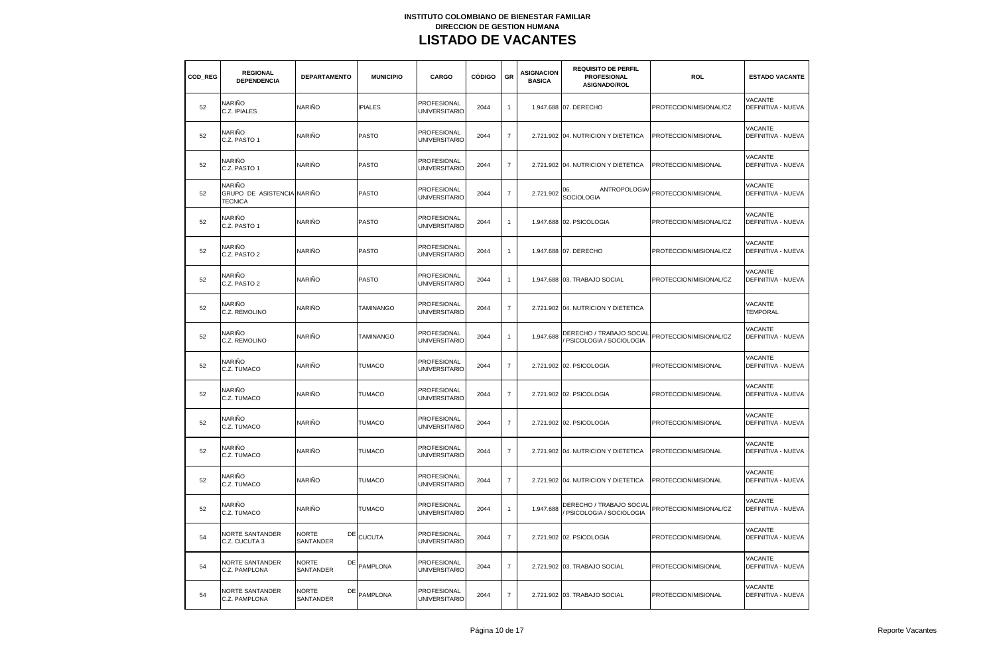| COD REG | <b>REGIONAL</b><br><b>DEPENDENCIA</b>                  | <b>DEPARTAMENTO</b>             | <b>MUNICIPIO</b> | CARGO                               | <b>CÓDIGO</b> | GR                       | <b>ASIGNACION</b><br><b>BASICA</b> | <b>REQUISITO DE PERFIL</b><br><b>PROFESIONAL</b><br>ASIGNADO/ROL | ROL                    | <b>ESTADO VACANTE</b>                       |
|---------|--------------------------------------------------------|---------------------------------|------------------|-------------------------------------|---------------|--------------------------|------------------------------------|------------------------------------------------------------------|------------------------|---------------------------------------------|
| 52      | NARIÑO<br>C.Z. IPIALES                                 | NARIÑO                          | <b>IPIALES</b>   | <b>PROFESIONAL</b><br>UNIVERSITARIO | 2044          | $\mathbf{1}$             |                                    | 1.947.688 07. DERECHO                                            | PROTECCION/MISIONAL/CZ | VACANTE<br>DEFINITIVA - NUEVA               |
| 52      | NARIÑO<br>C.Z. PASTO 1                                 | NARIÑO                          | <b>PASTO</b>     | PROFESIONAL<br><b>UNIVERSITARIO</b> | 2044          | $\overline{7}$           |                                    | 2.721.902 04. NUTRICION Y DIETETICA                              | PROTECCION/MISIONAL    | <b>VACANTE</b><br>DEFINITIVA - NUEVA        |
| 52      | NARIÑO<br>C.Z. PASTO 1                                 | NARIÑO                          | PASTO            | PROFESIONAL<br><b>UNIVERSITARIO</b> | 2044          | $\overline{7}$           |                                    | 2.721.902 04. NUTRICION Y DIETETICA                              | PROTECCION/MISIONAL    | <b>VACANTE</b><br><b>DEFINITIVA - NUEVA</b> |
| 52      | NARIÑO<br>GRUPO DE ASISTENCIA NARIÑO<br><b>TECNICA</b> |                                 | PASTO            | PROFESIONAL<br><b>UNIVERSITARIO</b> | 2044          | $\overline{7}$           | 2.721.902                          | ANTROPOLOGIA<br>06.<br>SOCIOLOGIA                                | PROTECCION/MISIONAL    | VACANTE<br>DEFINITIVA - NUEVA               |
| 52      | NARIÑO<br>C.Z. PASTO 1                                 | NARIÑO                          | <b>PASTO</b>     | PROFESIONAL<br><b>UNIVERSITARIO</b> | 2044          | $\overline{1}$           |                                    | 1.947.688 02. PSICOLOGIA                                         | PROTECCION/MISIONAL/CZ | VACANTE<br>DEFINITIVA - NUEVA               |
| 52      | NARIÑO<br>C.Z. PASTO 2                                 | NARIÑO                          | <b>PASTO</b>     | PROFESIONAL<br>UNIVERSITARIO        | 2044          | $\overline{1}$           |                                    | 1.947.688 07. DERECHO                                            | PROTECCION/MISIONAL/CZ | VACANTE<br>DEFINITIVA - NUEVA               |
| 52      | NARIÑO<br>C.Z. PASTO 2                                 | NARIÑO                          | <b>PASTO</b>     | PROFESIONAL<br><b>UNIVERSITARIO</b> | 2044          | $\mathbf{1}$             |                                    | 1.947.688 03. TRABAJO SOCIAL                                     | PROTECCION/MISIONAL/CZ | <b>VACANTE</b><br>DEFINITIVA - NUEVA        |
| 52      | NARIÑO<br>C.Z. REMOLINO                                | NARIÑO                          | <b>TAMINANGO</b> | PROFESIONAL<br><b>UNIVERSITARIO</b> | 2044          | $\overline{7}$           |                                    | 2.721.902 04. NUTRICION Y DIETETICA                              |                        | <b>VACANTE</b><br><b>TEMPORAL</b>           |
| 52      | NARIÑO<br>C.Z. REMOLINO                                | NARIÑO                          | <b>TAMINANGO</b> | PROFESIONAL<br><b>UNIVERSITARIO</b> | 2044          | $\mathbf{1}$             | 1.947.688                          | DERECHO / TRABAJO SOCIAL<br>PSICOLOGIA / SOCIOLOGIA              | PROTECCION/MISIONAL/CZ | <b>VACANTE</b><br>DEFINITIVA - NUEVA        |
| 52      | NARIÑO<br>C.Z. TUMACO                                  | NARIÑO                          | <b>TUMACO</b>    | PROFESIONAL<br><b>UNIVERSITARIO</b> | 2044          | $\overline{\mathcal{I}}$ |                                    | 2.721.902 02. PSICOLOGIA                                         | PROTECCION/MISIONAL    | VACANTE<br>DEFINITIVA - NUEVA               |
| 52      | NARIÑO<br>C.Z. TUMACO                                  | NARIÑO                          | <b>TUMACO</b>    | PROFESIONAL<br><b>UNIVERSITARIO</b> | 2044          | $\overline{7}$           |                                    | 2.721.902 02. PSICOLOGIA                                         | PROTECCION/MISIONAL    | VACANTE<br><b>DEFINITIVA - NUEVA</b>        |
| 52      | NARIÑO<br>C.Z. TUMACO                                  | NARIÑO                          | <b>TUMACO</b>    | PROFESIONAL<br>UNIVERSITARIO        | 2044          | $\overline{7}$           |                                    | 2.721.902 02. PSICOLOGIA                                         | PROTECCION/MISIONAL    | VACANTE<br>DEFINITIVA - NUEVA               |
| 52      | NARIÑO<br>C.Z. TUMACO                                  | NARIÑO                          | <b>TUMACO</b>    | PROFESIONAL<br><b>UNIVERSITARIO</b> | 2044          | $\overline{7}$           |                                    | 2.721.902 04. NUTRICION Y DIETETICA                              | PROTECCION/MISIONAL    | <b>VACANTE</b><br>DEFINITIVA - NUEVA        |
| 52      | NARIÑO<br>C.Z. TUMACO                                  | NARIÑO                          | <b>TUMACO</b>    | PROFESIONAL<br><b>UNIVERSITARIO</b> | 2044          | $\overline{7}$           |                                    | 2.721.902 04. NUTRICION Y DIETETICA                              | PROTECCION/MISIONAL    | <b>VACANTE</b><br><b>DEFINITIVA - NUEVA</b> |
| 52      | NARIÑO<br>C.Z. TUMACO                                  | NARIÑO                          | TUMACO           | PROFESIONAL<br><b>UNIVERSITARIO</b> | 2044          | $\mathbf{1}$             | 1.947.688                          | DERECHO / TRABAJO SOCIAI<br>PSICOLOGIA / SOCIOLOGIA              | PROTECCION/MISIONAL/CZ | VACANTE<br>DEFINITIVA - NUEVA               |
| 54      | <b>NORTE SANTANDER</b><br>C.Z. CUCUTA 3                | <b>NORTE</b><br>DE<br>SANTANDER | <b>CUCUTA</b>    | PROFESIONAL<br>UNIVERSITARIO        | 2044          | $\overline{7}$           |                                    | 2.721.902 02. PSICOLOGIA                                         | PROTECCION/MISIONAL    | VACANTE<br>DEFINITIVA - NUEVA               |
| 54      | NORTE SANTANDER<br>C.Z. PAMPLONA                       | <b>NORTE</b><br>DE<br>SANTANDER | <b>PAMPLONA</b>  | PROFESIONAL<br><b>UNIVERSITARIO</b> | 2044          | $\overline{7}$           |                                    | 2.721.902 03. TRABAJO SOCIAL                                     | PROTECCION/MISIONAL    | VACANTE<br>DEFINITIVA - NUEVA               |
| 54      | NORTE SANTANDER<br>C.Z. PAMPLONA                       | <b>NORTE</b><br>DE<br>SANTANDER | <b>PAMPLONA</b>  | PROFESIONAL<br><b>UNIVERSITARIO</b> | 2044          | $\overline{7}$           |                                    | 2.721.902 03. TRABAJO SOCIAL                                     | PROTECCION/MISIONAL    | <b>VACANTE</b><br><b>DEFINITIVA - NUEVA</b> |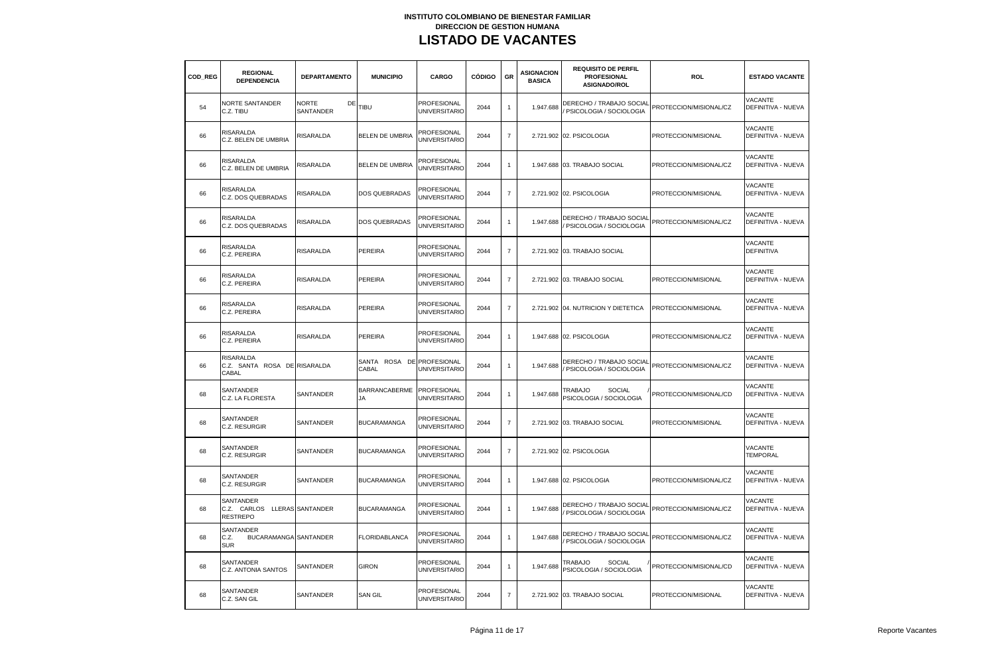| COD REG | <b>REGIONAL</b><br><b>DEPENDENCIA</b>                           | <b>DEPARTAMENTO</b>      | <b>MUNICIPIO</b>                   | CARGO                                      | <b>CÓDIGO</b> | GR             | <b>ASIGNACION</b><br><b>BASICA</b> | <b>REQUISITO DE PERFIL</b><br><b>PROFESIONAL</b><br>ASIGNADO/ROL | <b>ROL</b>             | <b>ESTADO VACANTE</b>                       |
|---------|-----------------------------------------------------------------|--------------------------|------------------------------------|--------------------------------------------|---------------|----------------|------------------------------------|------------------------------------------------------------------|------------------------|---------------------------------------------|
| 54      | NORTE SANTANDER<br>C.Z. TIBU                                    | NORTE<br>DE<br>SANTANDER | TIBU                               | <b>PROFESIONAL</b><br>UNIVERSITARIO        | 2044          | $\mathbf{1}$   | 1.947.688                          | DERECHO / TRABAJO SOCIAL<br>PSICOLOGIA / SOCIOLOGIA              | PROTECCION/MISIONAL/CZ | VACANTE<br>DEFINITIVA - NUEVA               |
| 66      | <b>RISARALDA</b><br>C.Z. BELEN DE UMBRIA                        | RISARALDA                | BELEN DE UMBRIA                    | PROFESIONAL<br><b>JNIVERSITARIO</b>        | 2044          | $\bf 7$        |                                    | 2.721.902 02. PSICOLOGIA                                         | PROTECCION/MISIONAL    | <b>VACANTE</b><br>DEFINITIVA - NUEVA        |
| 66      | RISARALDA<br>C.Z. BELEN DE UMBRIA                               | <b>RISARALDA</b>         | BELEN DE UMBRIA                    | PROFESIONAL<br><b>UNIVERSITARIO</b>        | 2044          | $\overline{1}$ |                                    | 1.947.688 03. TRABAJO SOCIAL                                     | PROTECCION/MISIONAL/CZ | <b>VACANTE</b><br><b>DEFINITIVA - NUEVA</b> |
| 66      | RISARALDA<br>C.Z. DOS QUEBRADAS                                 | RISARALDA                | DOS QUEBRADAS                      | PROFESIONAL<br><b>UNIVERSITARIO</b>        | 2044          | $\overline{7}$ |                                    | 2.721.902 02. PSICOLOGIA                                         | PROTECCION/MISIONAL    | VACANTE<br>DEFINITIVA - NUEVA               |
| 66      | <b>RISARALDA</b><br>C.Z. DOS QUEBRADAS                          | <b>RISARALDA</b>         | DOS QUEBRADAS                      | PROFESIONAL<br><b>JNIVERSITARIO</b>        | 2044          | $\overline{1}$ | 1.947.688                          | DERECHO / TRABAJO SOCIAI<br>PSICOLOGIA / SOCIOLOGIA              | PROTECCION/MISIONAL/CZ | <b>VACANTE</b><br>DEFINITIVA - NUEVA        |
| 66      | RISARALDA<br>C.Z. PEREIRA                                       | <b>RISARALDA</b>         | PEREIRA                            | PROFESIONAL<br>UNIVERSITARIO               | 2044          | $\overline{7}$ |                                    | 2.721.902 03. TRABAJO SOCIAL                                     |                        | VACANTE<br><b>DEFINITIVA</b>                |
| 66      | RISARALDA<br>C.Z. PEREIRA                                       | RISARALDA                | PEREIRA                            | PROFESIONAL<br><b>UNIVERSITARIO</b>        | 2044          | $\overline{7}$ |                                    | 2.721.902 03. TRABAJO SOCIAL                                     | PROTECCION/MISIONAL    | VACANTE<br>DEFINITIVA - NUEVA               |
| 66      | <b>RISARALDA</b><br>C.Z. PEREIRA                                | RISARALDA                | PEREIRA                            | PROFESIONAL<br><b>UNIVERSITARIO</b>        | 2044          | $\overline{7}$ |                                    | 2.721.902 04. NUTRICION Y DIETETICA                              | PROTECCION/MISIONAL    | VACANTE<br><b>DEFINITIVA - NUEVA</b>        |
| 66      | RISARALDA<br>C.Z. PEREIRA                                       | <b>RISARALDA</b>         | PEREIRA                            | PROFESIONAL<br><b>UNIVERSITARIO</b>        | 2044          | $\mathbf{1}$   |                                    | 1.947.688 02. PSICOLOGIA                                         | PROTECCION/MISIONAL/CZ | <b>VACANTE</b><br>DEFINITIVA - NUEVA        |
| 66      | RISARALDA<br>C.Z. SANTA ROSA DE RISARALDA<br>CABAL              |                          | SANTA ROSA DE PROFESIONAL<br>CABAL | <b>UNIVERSITARIO</b>                       | 2044          | $\mathbf{1}$   | 1.947.688                          | DERECHO / TRABAJO SOCIAL<br>PSICOLOGIA / SOCIOLOGIA              | PROTECCION/MISIONAL/CZ | VACANTE<br>DEFINITIVA - NUEVA               |
| 68      | SANTANDER<br>C.Z. LA FLORESTA                                   | <b>SANTANDER</b>         | <b>BARRANCABERME</b><br><b>JA</b>  | PROFESIONAL<br><b>UNIVERSITARIO</b>        | 2044          | $\mathbf{1}$   | 1.947.688                          | <b>SOCIAL</b><br>TRABAJO<br>PSICOLOGIA / SOCIOLOGIA              | PROTECCION/MISIONAL/CD | VACANTE<br><b>DEFINITIVA - NUEVA</b>        |
| 68      | SANTANDER<br>C.Z. RESURGIR                                      | SANTANDER                | <b>BUCARAMANGA</b>                 | PROFESIONAL<br><b>UNIVERSITARIO</b>        | 2044          | $\overline{7}$ |                                    | 2.721.902 03. TRABAJO SOCIAL                                     | PROTECCION/MISIONAL    | VACANTE<br>DEFINITIVA - NUEVA               |
| 68      | SANTANDER<br>C.Z. RESURGIR                                      | SANTANDER                | <b>BUCARAMANGA</b>                 | PROFESIONAL<br><b>UNIVERSITARIO</b>        | 2044          | $\overline{7}$ |                                    | 2.721.902 02. PSICOLOGIA                                         |                        | VACANTE<br><b>TEMPORAL</b>                  |
| 68      | SANTANDER<br>C.Z. RESURGIR                                      | <b>SANTANDER</b>         | <b>BUCARAMANGA</b>                 | <b>PROFESIONAL</b><br><b>UNIVERSITARIO</b> | 2044          | $\overline{1}$ |                                    | 1.947.688 02. PSICOLOGIA                                         | PROTECCION/MISIONAL/CZ | VACANTE<br><b>DEFINITIVA - NUEVA</b>        |
| 68      | SANTANDER<br>C.Z. CARLOS LLERAS SANTANDER<br><b>RESTREPO</b>    |                          | <b>BUCARAMANGA</b>                 | PROFESIONAL<br><b>UNIVERSITARIO</b>        | 2044          | $\mathbf{1}$   | 1.947.688                          | DERECHO / TRABAJO SOCIAI<br>PSICOLOGIA / SOCIOLOGIA              | PROTECCION/MISIONAL/CZ | VACANTE<br>DEFINITIVA - NUEVA               |
| 68      | SANTANDER<br><b>BUCARAMANGA SANTANDER</b><br>C.Z.<br><b>SUR</b> |                          | <b>FLORIDABLANCA</b>               | PROFESIONAL<br>UNIVERSITARIO               | 2044          | $\overline{1}$ | 1.947.688                          | DERECHO / TRABAJO SOCIAI<br>PSICOLOGIA / SOCIOLOGIA              | PROTECCION/MISIONAL/CZ | VACANTE<br>DEFINITIVA - NUEVA               |
| 68      | SANTANDER<br>C.Z. ANTONIA SANTOS                                | SANTANDER                | <b>GIRON</b>                       | PROFESIONAL<br>UNIVERSITARIO               | 2044          | $\mathbf{1}$   | 1.947.688                          | TRABAJO<br><b>SOCIAL</b><br>PSICOLOGIA / SOCIOLOGIA              | PROTECCION/MISIONAL/CD | <b>VACANTE</b><br>DEFINITIVA - NUEVA        |
| 68      | SANTANDER<br>C.Z. SAN GIL                                       | SANTANDER                | <b>SAN GIL</b>                     | PROFESIONAL<br><b>UNIVERSITARIO</b>        | 2044          | $\overline{7}$ |                                    | 2.721.902 03. TRABAJO SOCIAL                                     | PROTECCION/MISIONAL    | VACANTE<br><b>DEFINITIVA - NUEVA</b>        |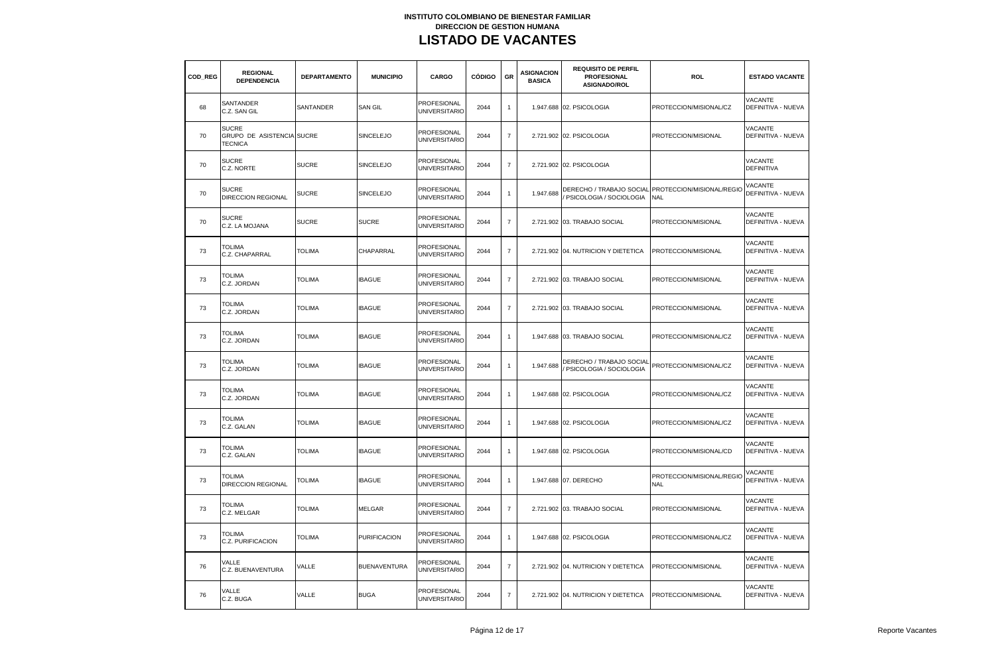| COD REG | <b>REGIONAL</b><br><b>DEPENDENCIA</b>                       | <b>DEPARTAMENTO</b> | <b>MUNICIPIO</b>    | CARGO                                      | <b>CÓDIGO</b> | GR             | <b>ASIGNACION</b><br><b>BASICA</b> | <b>REQUISITO DE PERFIL</b><br><b>PROFESIONAL</b><br>ASIGNADO/ROL | <b>ROL</b>                              | <b>ESTADO VACANTE</b>                       |
|---------|-------------------------------------------------------------|---------------------|---------------------|--------------------------------------------|---------------|----------------|------------------------------------|------------------------------------------------------------------|-----------------------------------------|---------------------------------------------|
| 68      | SANTANDER<br>C.Z. SAN GIL                                   | SANTANDER           | <b>SAN GIL</b>      | PROFESIONAL<br>UNIVERSITARIO               | 2044          | $\mathbf{1}$   |                                    | 1.947.688 02. PSICOLOGIA                                         | PROTECCION/MISIONAL/CZ                  | <b>VACANTE</b><br>DEFINITIVA - NUEVA        |
| 70      | <b>SUCRE</b><br>GRUPO DE ASISTENCIA SUCRE<br><b>TECNICA</b> |                     | SINCELEJO           | <b>PROFESIONAL</b><br><b>UNIVERSITARIO</b> | 2044          | $\bf 7$        |                                    | 2.721.902 02. PSICOLOGIA                                         | PROTECCION/MISIONAL                     | <b>VACANTE</b><br>DEFINITIVA - NUEVA        |
| 70      | <b>SUCRE</b><br>C.Z. NORTE                                  | <b>SUCRE</b>        | <b>SINCELEJO</b>    | PROFESIONAL<br><b>UNIVERSITARIO</b>        | 2044          | $\overline{7}$ |                                    | 2.721.902 02. PSICOLOGIA                                         |                                         | VACANTE<br><b>DEFINITIVA</b>                |
| 70      | <b>SUCRE</b><br><b>DIRECCION REGIONAL</b>                   | <b>SUCRE</b>        | SINCELEJO           | PROFESIONAL<br><b>UNIVERSITARIO</b>        | 2044          | $\overline{1}$ | 1.947.688                          | DERECHO / TRABAJO SOCIAL<br>PSICOLOGIA / SOCIOLOGIA              | PROTECCION/MISIONAL/REGIO<br><b>NAL</b> | VACANTE<br>DEFINITIVA - NUEVA               |
| 70      | <b>SUCRE</b><br>C.Z. LA MOJANA                              | <b>SUCRE</b>        | <b>SUCRE</b>        | PROFESIONAL<br><b>UNIVERSITARIO</b>        | 2044          | $\overline{7}$ |                                    | 2.721.902 03. TRABAJO SOCIAL                                     | PROTECCION/MISIONAL                     | VACANTE<br>DEFINITIVA - NUEVA               |
| 73      | <b>TOLIMA</b><br>C.Z. CHAPARRAL                             | <b>TOLIMA</b>       | CHAPARRAL           | PROFESIONAL<br>UNIVERSITARIO               | 2044          | $\overline{7}$ |                                    | 2.721.902 04. NUTRICION Y DIETETICA                              | PROTECCION/MISIONAL                     | VACANTE<br>DEFINITIVA - NUEVA               |
| 73      | <b>TOLIMA</b><br>C.Z. JORDAN                                | <b>TOLIMA</b>       | <b>IBAGUE</b>       | PROFESIONAL<br><b>UNIVERSITARIO</b>        | 2044          | $\overline{7}$ |                                    | 2.721.902 03. TRABAJO SOCIAL                                     | PROTECCION/MISIONAL                     | <b>VACANTE</b><br><b>DEFINITIVA - NUEVA</b> |
| 73      | <b>TOLIMA</b><br>C.Z. JORDAN                                | <b>TOLIMA</b>       | <b>IBAGUE</b>       | PROFESIONAL<br><b>UNIVERSITARIO</b>        | 2044          | $\overline{7}$ |                                    | 2.721.902 03. TRABAJO SOCIAL                                     | PROTECCION/MISIONAL                     | VACANTE<br>DEFINITIVA - NUEVA               |
| 73      | <b>TOLIMA</b><br>C.Z. JORDAN                                | <b>TOLIMA</b>       | <b>IBAGUE</b>       | PROFESIONAL<br><b>UNIVERSITARIO</b>        | 2044          | $\mathbf{1}$   |                                    | 1.947.688 03. TRABAJO SOCIAL                                     | PROTECCION/MISIONAL/CZ                  | <b>VACANTE</b><br><b>DEFINITIVA - NUEVA</b> |
| 73      | <b>TOLIMA</b><br>C.Z. JORDAN                                | <b>TOLIMA</b>       | <b>IBAGUE</b>       | PROFESIONAL<br>UNIVERSITARIO               | 2044          | $\mathbf{1}$   | 1.947.688                          | DERECHO / TRABAJO SOCIAL<br>PSICOLOGIA / SOCIOLOGIA              | PROTECCION/MISIONAL/CZ                  | VACANTE<br>DEFINITIVA - NUEVA               |
| 73      | <b>TOLIMA</b><br>C.Z. JORDAN                                | <b>TOLIMA</b>       | <b>IBAGUE</b>       | PROFESIONAL<br><b>UNIVERSITARIO</b>        | 2044          | $\mathbf{1}$   |                                    | 1.947.688 02. PSICOLOGIA                                         | PROTECCION/MISIONAL/CZ                  | VACANTE<br>DEFINITIVA - NUEVA               |
| 73      | <b>TOLIMA</b><br>C.Z. GALAN                                 | <b>TOLIMA</b>       | <b>IBAGUE</b>       | PROFESIONAL<br>UNIVERSITARIO               | 2044          | $\mathbf{1}$   |                                    | 1.947.688 02. PSICOLOGIA                                         | PROTECCION/MISIONAL/CZ                  | VACANTE<br>DEFINITIVA - NUEVA               |
| 73      | <b>TOLIMA</b><br>C.Z. GALAN                                 | <b>TOLIMA</b>       | <b>IBAGUE</b>       | PROFESIONAL<br><b>UNIVERSITARIO</b>        | 2044          | $\mathbf{1}$   |                                    | 1.947.688 02. PSICOLOGIA                                         | PROTECCION/MISIONAL/CD                  | VACANTE<br>DEFINITIVA - NUEVA               |
| 73      | <b>TOLIMA</b><br><b>DIRECCION REGIONAL</b>                  | <b>TOLIMA</b>       | <b>IBAGUE</b>       | PROFESIONAL<br><b>UNIVERSITARIO</b>        | 2044          | $\overline{1}$ |                                    | 1.947.688 07. DERECHO                                            | PROTECCION/MISIONAL/REGIO<br><b>NAL</b> | VACANTE<br><b>DEFINITIVA - NUEVA</b>        |
| 73      | TOLIMA<br>C.Z. MELGAR                                       | <b>TOLIMA</b>       | MELGAR              | PROFESIONAL<br><b>UNIVERSITARIO</b>        | 2044          | $\overline{7}$ |                                    | 2.721.902 03. TRABAJO SOCIAL                                     | PROTECCION/MISIONAL                     | VACANTE<br>DEFINITIVA - NUEVA               |
| 73      | <b>TOLIMA</b><br>C.Z. PURIFICACION                          | <b>TOLIMA</b>       | <b>PURIFICACION</b> | PROFESIONAL<br>UNIVERSITARIO               | 2044          | $\overline{1}$ |                                    | 1.947.688 02. PSICOLOGIA                                         | PROTECCION/MISIONAL/CZ                  | VACANTE<br>DEFINITIVA - NUEVA               |
| 76      | VALLE<br>C.Z. BUENAVENTURA                                  | VALLE               | <b>BUENAVENTURA</b> | PROFESIONAL<br><b>UNIVERSITARIO</b>        | 2044          | $\overline{7}$ |                                    | 2.721.902 04. NUTRICION Y DIETETICA                              | PROTECCION/MISIONAL                     | VACANTE<br>DEFINITIVA - NUEVA               |
| 76      | VALLE<br>C.Z. BUGA                                          | VALLE               | <b>BUGA</b>         | PROFESIONAL<br><b>UNIVERSITARIO</b>        | 2044          | $\overline{7}$ |                                    | 2.721.902 04. NUTRICION Y DIETETICA                              | PROTECCION/MISIONAL                     | VACANTE<br><b>DEFINITIVA - NUEVA</b>        |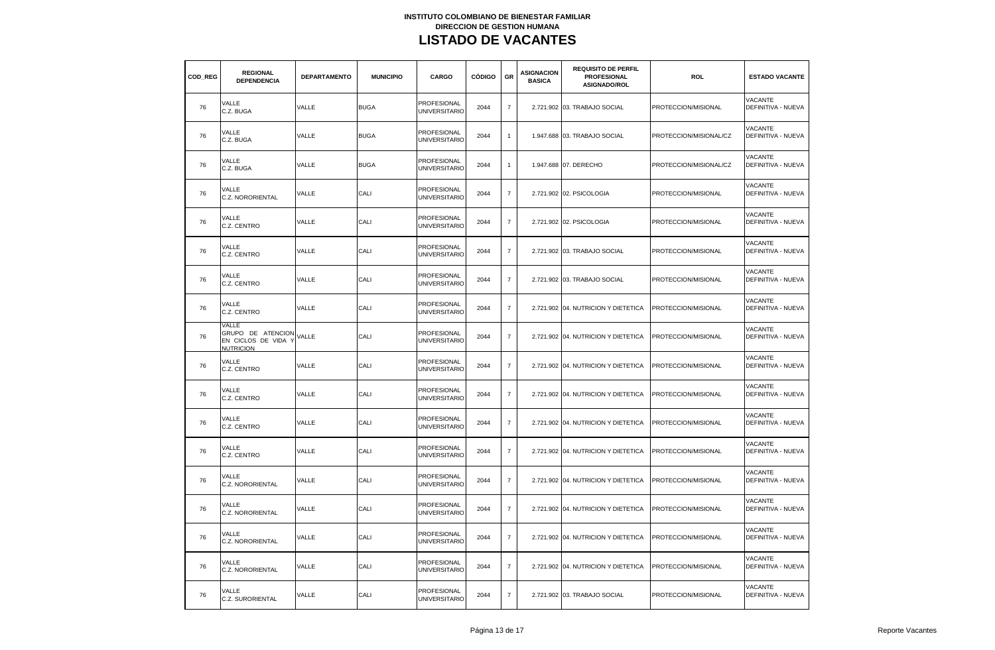| COD REG | <b>REGIONAL</b><br><b>DEPENDENCIA</b>                                 | <b>DEPARTAMENTO</b> | <b>MUNICIPIO</b> | CARGO                                      | <b>CÓDIGO</b> | GR             | <b>ASIGNACION</b><br><b>BASICA</b> | <b>REQUISITO DE PERFIL</b><br><b>PROFESIONAL</b><br>ASIGNADO/ROL | <b>ROL</b>             | <b>ESTADO VACANTE</b>                       |
|---------|-----------------------------------------------------------------------|---------------------|------------------|--------------------------------------------|---------------|----------------|------------------------------------|------------------------------------------------------------------|------------------------|---------------------------------------------|
| 76      | VALLE<br>C.Z. BUGA                                                    | VALLE               | <b>BUGA</b>      | PROFESIONAL<br>UNIVERSITARIO               | 2044          | $\overline{7}$ |                                    | 2.721.902 03. TRABAJO SOCIAL                                     | PROTECCION/MISIONAL    | <b>VACANTE</b><br>DEFINITIVA - NUEVA        |
| 76      | VALLE<br>C.Z. BUGA                                                    | VALLE               | <b>BUGA</b>      | PROFESIONAL<br><b>UNIVERSITARIO</b>        | 2044          | $\mathbf{1}$   |                                    | 1.947.688 03. TRABAJO SOCIAL                                     | PROTECCION/MISIONAL/CZ | <b>VACANTE</b><br>DEFINITIVA - NUEVA        |
| 76      | VALLE<br>C.Z. BUGA                                                    | VALLE               | <b>BUGA</b>      | PROFESIONAL<br><b>UNIVERSITARIO</b>        | 2044          | $\mathbf{1}$   |                                    | 1.947.688 07. DERECHO                                            | PROTECCION/MISIONAL/CZ | <b>VACANTE</b><br>DEFINITIVA - NUEVA        |
| 76      | VALLE<br>C.Z. NORORIENTAL                                             | VALLE               | CALI             | PROFESIONAL<br><b>UNIVERSITARIO</b>        | 2044          | $\overline{7}$ |                                    | 2.721.902 02. PSICOLOGIA                                         | PROTECCION/MISIONAL    | <b>VACANTE</b><br>DEFINITIVA - NUEVA        |
| 76      | VALLE<br>C.Z. CENTRO                                                  | VALLE               | CALI             | PROFESIONAL<br><b>UNIVERSITARIO</b>        | 2044          | $\overline{7}$ |                                    | 2.721.902 02. PSICOLOGIA                                         | PROTECCION/MISIONAL    | <b>VACANTE</b><br>DEFINITIVA - NUEVA        |
| 76      | VALLE<br>C.Z. CENTRO                                                  | VALLE               | CALI             | PROFESIONAL<br>UNIVERSITARIO               | 2044          | $\overline{7}$ |                                    | 2.721.902 03. TRABAJO SOCIAL                                     | PROTECCION/MISIONAL    | VACANTE<br>DEFINITIVA - NUEVA               |
| 76      | VALLE<br>C.Z. CENTRO                                                  | VALLE               | CALI             | PROFESIONAL<br><b>UNIVERSITARIC</b>        | 2044          | $\overline{7}$ |                                    | 2.721.902 03. TRABAJO SOCIAL                                     | PROTECCION/MISIONAL    | <b>VACANTE</b><br>DEFINITIVA - NUEVA        |
| 76      | VALLE<br>C.Z. CENTRO                                                  | VALLE               | CALI             | <b>PROFESIONAL</b><br><b>UNIVERSITARIO</b> | 2044          | $\overline{7}$ |                                    | 2.721.902 04. NUTRICION Y DIETETICA                              | PROTECCION/MISIONAL    | VACANTE<br><b>DEFINITIVA - NUEVA</b>        |
| 76      | VALLE<br>GRUPO DE ATENCION<br>EN CICLOS DE VIDA Y<br><b>NUTRICION</b> | VALLE               | CALI             | PROFESIONAL<br><b>UNIVERSITARIO</b>        | 2044          | $\overline{7}$ |                                    | 2.721.902 04. NUTRICION Y DIETETICA                              | PROTECCION/MISIONAL    | VACANTE<br><b>DEFINITIVA - NUEVA</b>        |
| 76      | VALLE<br>C.Z. CENTRO                                                  | VALLE               | CALI             | PROFESIONAL<br><b>UNIVERSITARIO</b>        | 2044          | $\overline{7}$ |                                    | 2.721.902 04. NUTRICION Y DIETETICA                              | PROTECCION/MISIONAL    | VACANTE<br>DEFINITIVA - NUEVA               |
| 76      | VALLE<br>C.Z. CENTRO                                                  | VALLE               | CALI             | PROFESIONAL<br>UNIVERSITARIO               | 2044          | $\overline{7}$ |                                    | 2.721.902 04. NUTRICION Y DIETETICA                              | PROTECCION/MISIONAL    | VACANTE<br>DEFINITIVA - NUEVA               |
| 76      | VALLE<br>C.Z. CENTRO                                                  | VALLE               | CALI             | PROFESIONAL<br><b>UNIVERSITARIO</b>        | 2044          | $\overline{7}$ |                                    | 2.721.902 04. NUTRICION Y DIETETICA                              | PROTECCION/MISIONAL    | VACANTE<br>DEFINITIVA - NUEVA               |
| 76      | VALLE<br>C.Z. CENTRO                                                  | VALLE               | CALI             | PROFESIONAL<br><b>UNIVERSITARIO</b>        | 2044          | $\overline{7}$ |                                    | 2.721.902 04. NUTRICION Y DIETETICA                              | PROTECCION/MISIONAL    | <b>VACANTE</b><br>DEFINITIVA - NUEVA        |
| 76      | VALLE<br>C.Z. NORORIENTAL                                             | VALLE               | CALI             | PROFESIONAL<br><b>UNIVERSITARIO</b>        | 2044          | $\overline{7}$ |                                    | 2.721.902 04. NUTRICION Y DIETETICA                              | PROTECCION/MISIONAL    | VACANTE<br><b>DEFINITIVA - NUEVA</b>        |
| 76      | VALLE<br><b>C.Z. NORORIENTAL</b>                                      | VALLE               | CALI             | PROFESIONAL<br><b>UNIVERSITARIO</b>        | 2044          | $\overline{7}$ |                                    | 2.721.902 04. NUTRICION Y DIETETICA                              | PROTECCION/MISIONAL    | <b>VACANTE</b><br><b>DEFINITIVA - NUEVA</b> |
| 76      | VALLE<br><b>C.Z. NORORIENTAL</b>                                      | VALLE               | CALI             | PROFESIONAL<br><b>UNIVERSITARIO</b>        | 2044          | $\overline{7}$ |                                    | 2.721.902 04. NUTRICION Y DIETETICA                              | PROTECCION/MISIONAL    | <b>VACANTE</b><br>DEFINITIVA - NUEVA        |
| 76      | VALLE<br>C.Z. NORORIENTAL                                             | VALLE               | CALI             | PROFESIONAL<br><b>UNIVERSITARIO</b>        | 2044          | $\overline{7}$ |                                    | 2.721.902 04. NUTRICION Y DIETETICA                              | PROTECCION/MISIONAL    | <b>VACANTE</b><br>DEFINITIVA - NUEVA        |
| 76      | VALLE<br>C.Z. SURORIENTAL                                             | VALLE               | CALI             | PROFESIONAL<br><b>UNIVERSITARIO</b>        | 2044          | $\overline{7}$ |                                    | 2.721.902 03. TRABAJO SOCIAL                                     | PROTECCION/MISIONAL    | VACANTE<br>DEFINITIVA - NUEVA               |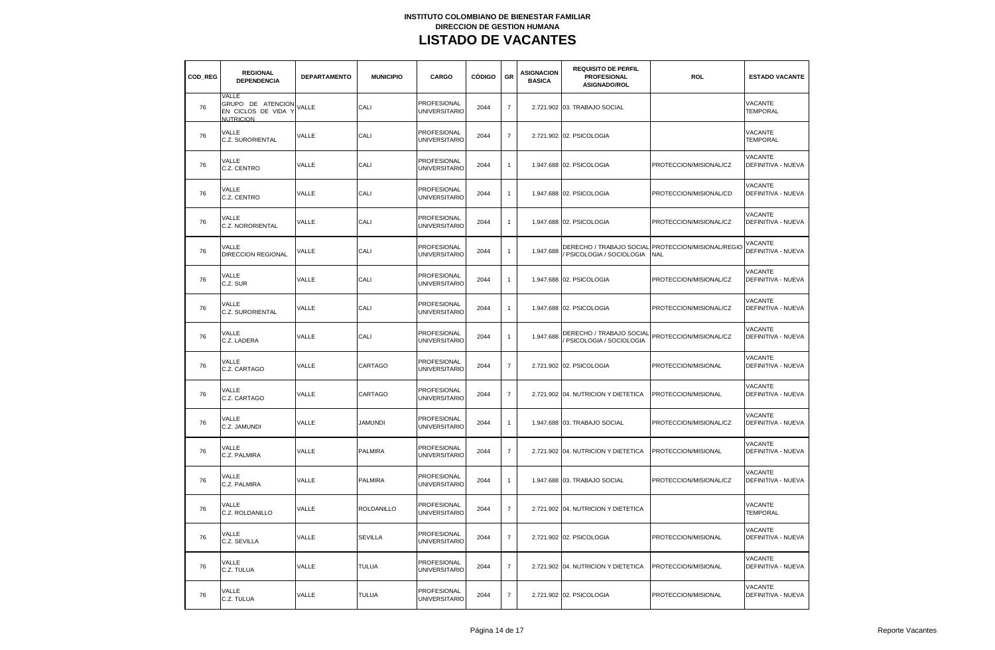| COD REG | <b>REGIONAL</b><br><b>DEPENDENCIA</b>                               | <b>DEPARTAMENTO</b> | <b>MUNICIPIO</b> | CARGO                                      | <b>CÓDIGO</b> | <b>GR</b>      | <b>ASIGNACION</b><br><b>BASICA</b> | <b>REQUISITO DE PERFIL</b><br><b>PROFESIONAL</b><br>ASIGNADO/ROL | <b>ROL</b>                              | <b>ESTADO VACANTE</b>                       |
|---------|---------------------------------------------------------------------|---------------------|------------------|--------------------------------------------|---------------|----------------|------------------------------------|------------------------------------------------------------------|-----------------------------------------|---------------------------------------------|
| 76      | VALLE<br>GRUPO DE ATENCION<br>EN CICLOS DE VIDA<br><b>NUTRICION</b> | VALLE               | CALI             | <b>PROFESIONAL</b><br><b>UNIVERSITARIO</b> | 2044          | $\overline{7}$ |                                    | 2.721.902 03. TRABAJO SOCIAL                                     |                                         | VACANTE<br><b>TEMPORAL</b>                  |
| 76      | VALLE<br>C.Z. SURORIENTAL                                           | VALLE               | CALI             | PROFESIONAL<br><b>UNIVERSITARIO</b>        | 2044          | $\overline{7}$ |                                    | 2.721.902 02. PSICOLOGIA                                         |                                         | <b>VACANTE</b><br><b>TEMPORAL</b>           |
| 76      | VALLE<br>C.Z. CENTRO                                                | VALLE               | CALI             | PROFESIONAL<br><b>UNIVERSITARIO</b>        | 2044          | $\mathbf{1}$   |                                    | 1.947.688 02. PSICOLOGIA                                         | PROTECCION/MISIONAL/CZ                  | VACANTE<br><b>DEFINITIVA - NUEVA</b>        |
| 76      | VALLE<br>C.Z. CENTRO                                                | VALLE               | CALI             | PROFESIONAL<br><b>UNIVERSITARIO</b>        | 2044          | $\mathbf{1}$   |                                    | 1.947.688 02. PSICOLOGIA                                         | PROTECCION/MISIONAL/CD                  | <b>VACANTE</b><br><b>DEFINITIVA - NUEVA</b> |
| 76      | VALLE<br><b>C.Z. NORORIENTAL</b>                                    | VALLE               | CALI             | PROFESIONAL<br>UNIVERSITARIO               | 2044          | -1             |                                    | 1.947.688 02. PSICOLOGIA                                         | PROTECCION/MISIONAL/CZ                  | VACANTE<br>DEFINITIVA - NUEVA               |
| 76      | VALLE<br>DIRECCION REGIONAL                                         | VALLE               | CALI             | PROFESIONAL<br><b>UNIVERSITARIO</b>        | 2044          | $\mathbf{1}$   | 1.947.688                          | DERECHO / TRABAJO SOCIAL<br>PSICOLOGIA / SOCIOLOGIA              | PROTECCION/MISIONAL/REGIO<br><b>NAL</b> | VACANTE<br>DEFINITIVA - NUEVA               |
| 76      | VALLE<br>C.Z. SUR                                                   | <b>VALLE</b>        | CALI             | PROFESIONAL<br><b>UNIVERSITARIO</b>        | 2044          | $\mathbf{1}$   |                                    | 1.947.688 02. PSICOLOGIA                                         | PROTECCION/MISIONAL/CZ                  | <b>VACANTE</b><br>DEFINITIVA - NUEVA        |
| 76      | VALLE<br>C.Z. SURORIENTAL                                           | VALLE               | CALI             | PROFESIONAL<br><b>UNIVERSITARIO</b>        | 2044          | $\mathbf{1}$   |                                    | 1.947.688 02. PSICOLOGIA                                         | PROTECCION/MISIONAL/CZ                  | VACANTE<br><b>DEFINITIVA - NUEVA</b>        |
| 76      | VALLE<br>C.Z. LADERA                                                | VALLE               | CALI             | PROFESIONAL<br><b>UNIVERSITARIO</b>        | 2044          | $\mathbf{1}$   | 1.947.688                          | DERECHO / TRABAJO SOCIAL<br>PSICOLOGIA / SOCIOLOGIA              | PROTECCION/MISIONAL/CZ                  | VACANTE<br>DEFINITIVA - NUEVA               |
| 76      | VALLE<br>C.Z. CARTAGO                                               | VALLE               | CARTAGO          | PROFESIONAL<br><b>UNIVERSITARIO</b>        | 2044          | $\overline{7}$ |                                    | 2.721.902 02. PSICOLOGIA                                         | PROTECCION/MISIONAL                     | <b>VACANTE</b><br>DEFINITIVA - NUEVA        |
| 76      | VALLE<br>C.Z. CARTAGO                                               | VALLE               | CARTAGO          | PROFESIONAL<br><b>UNIVERSITARIO</b>        | 2044          | $\overline{7}$ |                                    | 2.721.902 04. NUTRICION Y DIETETICA                              | PROTECCION/MISIONAL                     | VACANTE<br><b>DEFINITIVA - NUEVA</b>        |
| 76      | VALLE<br>C.Z. JAMUNDI                                               | VALLE               | <b>JAMUNDI</b>   | PROFESIONAL<br><b>UNIVERSITARIO</b>        | 2044          | $\mathbf{1}$   |                                    | 1.947.688 03. TRABAJO SOCIAL                                     | PROTECCION/MISIONAL/CZ                  | VACANTE<br>DEFINITIVA - NUEVA               |
| 76      | VALLE<br>C.Z. PALMIRA                                               | VALLE               | <b>PALMIRA</b>   | PROFESIONAL<br><b>UNIVERSITARIO</b>        | 2044          | $\overline{7}$ |                                    | 2.721.902 04. NUTRICION Y DIETETICA                              | PROTECCION/MISIONAL                     | <b>VACANTE</b><br>DEFINITIVA - NUEVA        |
| 76      | VALLE<br>C.Z. PALMIRA                                               | VALLE               | <b>PALMIRA</b>   | PROFESIONAL<br><b>UNIVERSITARIO</b>        | 2044          | $\mathbf{1}$   |                                    | 1.947.688 03. TRABAJO SOCIAL                                     | PROTECCION/MISIONAL/CZ                  | VACANTE<br><b>DEFINITIVA - NUEVA</b>        |
| 76      | VALLE<br>C.Z. ROLDANILLO                                            | VALLE               | ROLDANILLO       | <b>PROFESIONAL</b><br><b>UNIVERSITARIO</b> | 2044          | $\overline{7}$ |                                    | 2.721.902 04. NUTRICION Y DIETETICA                              |                                         | VACANTE<br><b>TEMPORAL</b>                  |
| 76      | VALLE<br>C.Z. SEVILLA                                               | VALLE               | <b>SEVILLA</b>   | PROFESIONAL<br><b>UNIVERSITARIO</b>        | 2044          | $\overline{7}$ |                                    | 2.721.902 02. PSICOLOGIA                                         | PROTECCION/MISIONAL                     | VACANTE<br>DEFINITIVA - NUEVA               |
| 76      | VALLE<br>C.Z. TULUA                                                 | VALLE               | <b>TULUA</b>     | PROFESIONAL<br><b>UNIVERSITARIO</b>        | 2044          | $\overline{7}$ |                                    | 2.721.902 04. NUTRICION Y DIETETICA                              | PROTECCION/MISIONAL                     | VACANTE<br>DEFINITIVA - NUEVA               |
| 76      | VALLE<br>C.Z. TULUA                                                 | VALLE               | <b>TULUA</b>     | PROFESIONAL<br><b>UNIVERSITARIO</b>        | 2044          | $\overline{7}$ |                                    | 2.721.902 02. PSICOLOGIA                                         | PROTECCION/MISIONAL                     | VACANTE<br>DEFINITIVA - NUEVA               |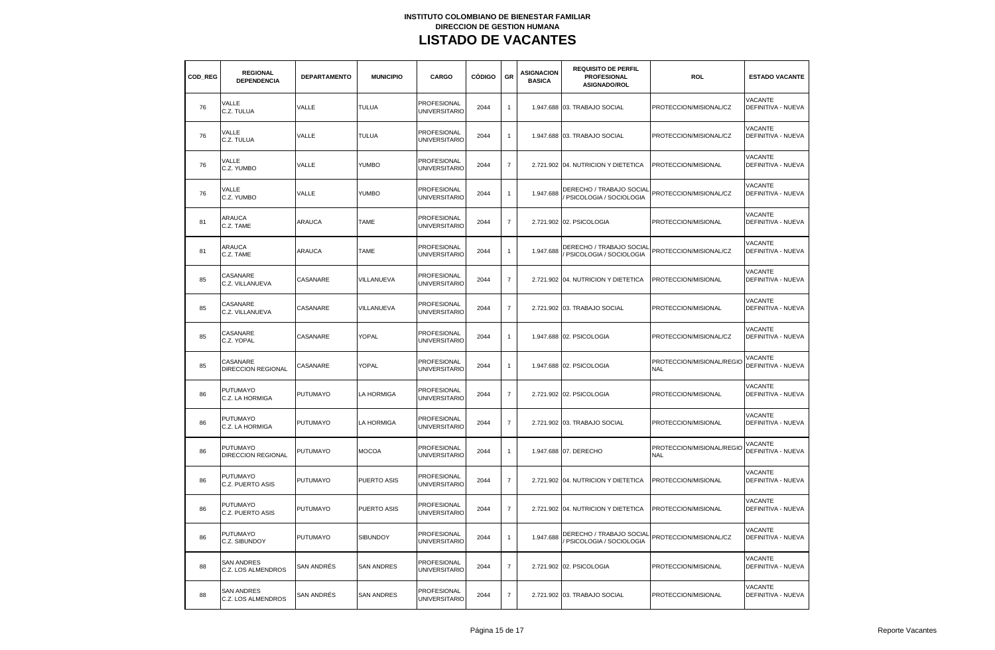| COD REG | <b>REGIONAL</b><br><b>DEPENDENCIA</b>          | <b>DEPARTAMENTO</b> | <b>MUNICIPIO</b>   | CARGO                                      | CÓDIGO | GR             | ASIGNACION<br><b>BASICA</b> | <b>REQUISITO DE PERFIL</b><br><b>PROFESIONAL</b><br><b>ASIGNADO/ROL</b> | <b>ROL</b>                              | <b>ESTADO VACANTE</b>                       |
|---------|------------------------------------------------|---------------------|--------------------|--------------------------------------------|--------|----------------|-----------------------------|-------------------------------------------------------------------------|-----------------------------------------|---------------------------------------------|
| 76      | VALLE<br>C.Z. TULUA                            | VALLE               | <b>TULUA</b>       | PROFESIONAL<br><b>UNIVERSITARIO</b>        | 2044   | $\mathbf{1}$   |                             | 1.947.688 03. TRABAJO SOCIAL                                            | PROTECCION/MISIONAL/CZ                  | VACANTE<br>DEFINITIVA - NUEVA               |
| 76      | VALLE<br>C.Z. TULUA                            | VALLE               | <b>TULUA</b>       | PROFESIONAL<br><b>UNIVERSITARIO</b>        | 2044   | $\mathbf{1}$   |                             | 1.947.688 03. TRABAJO SOCIAL                                            | PROTECCION/MISIONAL/CZ                  | VACANTE<br><b>DEFINITIVA - NUEVA</b>        |
| 76      | VALLE<br>C.Z. YUMBO                            | VALLE               | YUMBO              | PROFESIONAL<br><b>UNIVERSITARIO</b>        | 2044   | $\overline{7}$ |                             | 2.721.902 04. NUTRICION Y DIETETICA                                     | PROTECCION/MISIONAL                     | VACANTE<br>DEFINITIVA - NUEVA               |
| 76      | VALLE<br>C.Z. YUMBO                            | VALLE               | YUMBO              | PROFESIONAL<br><b>UNIVERSITARIO</b>        | 2044   | $\mathbf{1}$   | 1.947.688                   | DERECHO / TRABAJO SOCIAL<br>PSICOLOGIA / SOCIOLOGIA                     | PROTECCION/MISIONAL/CZ                  | <b>VACANTE</b><br>DEFINITIVA - NUEVA        |
| 81      | ARAUCA<br>C.Z. TAME                            | <b>ARAUCA</b>       | <b>TAME</b>        | PROFESIONAL<br><b>UNIVERSITARIO</b>        | 2044   | $\overline{7}$ |                             | 2.721.902 02. PSICOLOGIA                                                | PROTECCION/MISIONAL                     | VACANTE<br><b>DEFINITIVA - NUEVA</b>        |
| 81      | ARAUCA<br>C.Z. TAME                            | <b>ARAUCA</b>       | <b>TAME</b>        | PROFESIONAL<br><b>UNIVERSITARIO</b>        | 2044   | $\mathbf{1}$   | 1.947.688                   | DERECHO / TRABAJO SOCIAL<br>PSICOLOGIA / SOCIOLOGIA                     | PROTECCION/MISIONAL/CZ                  | VACANTE<br>DEFINITIVA - NUEVA               |
| 85      | CASANARE<br>C.Z. VILLANUEVA                    | CASANARE            | VILLANUEVA         | PROFESIONAL<br><b>UNIVERSITARIO</b>        | 2044   | $\overline{7}$ |                             | 2.721.902 04. NUTRICION Y DIETETICA                                     | PROTECCION/MISIONAL                     | VACANTE<br>DEFINITIVA - NUEVA               |
| 85      | CASANARE<br>C.Z. VILLANUEVA                    | CASANARE            | VILLANUEVA         | PROFESIONAL<br><b>UNIVERSITARIO</b>        | 2044   | $\overline{7}$ |                             | 2.721.902 03. TRABAJO SOCIAL                                            | PROTECCION/MISIONAL                     | VACANTE<br><b>DEFINITIVA - NUEVA</b>        |
| 85      | CASANARE<br>C.Z. YOPAL                         | CASANARE            | YOPAL              | PROFESIONAL<br><b>UNIVERSITARIO</b>        | 2044   | 1              |                             | 1.947.688 02. PSICOLOGIA                                                | PROTECCION/MISIONAL/CZ                  | VACANTE<br><b>DEFINITIVA - NUEVA</b>        |
| 85      | CASANARE<br><b>DIRECCION REGIONAL</b>          | CASANARE            | YOPAL              | PROFESIONAL<br><b>UNIVERSITARIO</b>        | 2044   | $\mathbf{1}$   |                             | 1.947.688 02. PSICOLOGIA                                                | PROTECCION/MISIONAL/REGIO<br><b>NAL</b> | VACANTE<br>DEFINITIVA - NUEVA               |
| 86      | <b>PUTUMAYO</b><br>C.Z. LA HORMIGA             | <b>PUTUMAYO</b>     | LA HORMIGA         | PROFESIONAL<br><b>UNIVERSITARIO</b>        | 2044   | $\overline{7}$ |                             | 2.721.902 02. PSICOLOGIA                                                | PROTECCION/MISIONAL                     | VACANTE<br>DEFINITIVA - NUEVA               |
| 86      | <b>PUTUMAYO</b><br>C.Z. LA HORMIGA             | <b>PUTUMAYO</b>     | LA HORMIGA         | PROFESIONAL<br><b>UNIVERSITARIO</b>        | 2044   | $\overline{7}$ |                             | 2.721.902 03. TRABAJO SOCIAL                                            | PROTECCION/MISIONAL                     | VACANTE<br>DEFINITIVA - NUEVA               |
| 86      | <b>PUTUMAYO</b><br>DIRECCION REGIONAL          | <b>PUTUMAYO</b>     | <b>MOCOA</b>       | PROFESIONAL<br><b>UNIVERSITARIO</b>        | 2044   | $\mathbf{1}$   |                             | 1.947.688 07. DERECHO                                                   | PROTECCION/MISIONAL/REGIO<br><b>NAL</b> | VACANTE<br><b>DEFINITIVA - NUEVA</b>        |
| 86      | PUTUMAYO<br>C.Z. PUERTO ASIS                   | <b>PUTUMAYO</b>     | PUERTO ASIS        | <b>PROFESIONAL</b><br><b>UNIVERSITARIO</b> | 2044   | $\overline{7}$ |                             | 2.721.902 04. NUTRICION Y DIETETICA                                     | PROTECCION/MISIONAL                     | <b>VACANTE</b><br>DEFINITIVA - NUEVA        |
| 86      | <b>PUTUMAYO</b><br>C.Z. PUERTO ASIS            | <b>PUTUMAYO</b>     | <b>PUERTO ASIS</b> | PROFESIONAL<br><b>UNIVERSITARIO</b>        | 2044   | $\overline{7}$ |                             | 2.721.902 04. NUTRICION Y DIETETICA                                     | PROTECCION/MISIONAL                     | <b>VACANTE</b><br>DEFINITIVA - NUEVA        |
| 86      | PUTUMAYO<br>C.Z. SIBUNDOY                      | <b>PUTUMAYO</b>     | <b>SIBUNDOY</b>    | PROFESIONAL<br><b>UNIVERSITARIO</b>        | 2044   | $\mathbf{1}$   | 1.947.688                   | DERECHO / TRABAJO SOCIAL<br>PSICOLOGIA / SOCIOLOGIA                     | PROTECCION/MISIONAL/CZ                  | VACANTE<br>DEFINITIVA - NUEVA               |
| 88      | <b>SAN ANDRES</b><br>C.Z. LOS ALMENDROS        | <b>SAN ANDRÉS</b>   | <b>SAN ANDRES</b>  | <b>PROFESIONAL</b><br><b>UNIVERSITARIO</b> | 2044   | $\overline{7}$ |                             | 2.721.902 02. PSICOLOGIA                                                | PROTECCION/MISIONAL                     | <b>VACANTE</b><br>DEFINITIVA - NUEVA        |
| 88      | <b>SAN ANDRES</b><br><b>C.Z. LOS ALMENDROS</b> | <b>SAN ANDRÉS</b>   | <b>SAN ANDRES</b>  | PROFESIONAL<br><b>UNIVERSITARIO</b>        | 2044   | $\overline{7}$ |                             | 2.721.902 03. TRABAJO SOCIAL                                            | PROTECCION/MISIONAL                     | <b>VACANTE</b><br><b>DEFINITIVA - NUEVA</b> |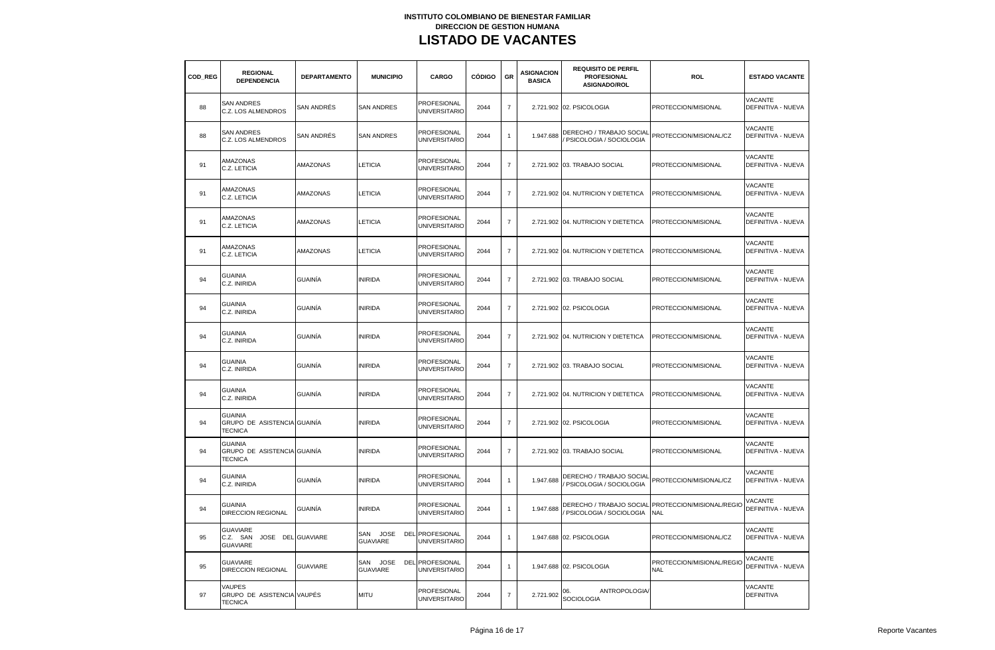| COD REG | <b>REGIONAL</b><br><b>DEPENDENCIA</b>                               | <b>DEPARTAMENTO</b> | <b>MUNICIPIO</b>                      | CARGO                                      | <b>CÓDIGO</b> | <b>GR</b>      | <b>ASIGNACION</b><br><b>BASICA</b> | <b>REQUISITO DE PERFIL</b><br><b>PROFESIONAL</b><br>ASIGNADO/ROL | <b>ROL</b>                              | <b>ESTADO VACANTE</b>                       |
|---------|---------------------------------------------------------------------|---------------------|---------------------------------------|--------------------------------------------|---------------|----------------|------------------------------------|------------------------------------------------------------------|-----------------------------------------|---------------------------------------------|
| 88      | <b>SAN ANDRES</b><br>C.Z. LOS ALMENDROS                             | SAN ANDRÉS          | <b>SAN ANDRES</b>                     | <b>PROFESIONAL</b><br><b>UNIVERSITARIO</b> | 2044          | $\overline{7}$ |                                    | 2.721.902 02. PSICOLOGIA                                         | PROTECCION/MISIONAL                     | <b>VACANTE</b><br>DEFINITIVA - NUEVA        |
| 88      | <b>SAN ANDRES</b><br>C.Z. LOS ALMENDROS                             | SAN ANDRÉS          | <b>SAN ANDRES</b>                     | PROFESIONAL<br><b>UNIVERSITARIO</b>        | 2044          | $\mathbf{1}$   | 1.947.688                          | DERECHO / TRABAJO SOCIAL<br>PSICOLOGIA / SOCIOLOGIA              | PROTECCION/MISIONAL/CZ                  | VACANTE<br>DEFINITIVA - NUEVA               |
| 91      | AMAZONAS<br>C.Z. LETICIA                                            | <b>AMAZONAS</b>     | LETICIA                               | <b>PROFESIONAL</b><br><b>UNIVERSITARIO</b> | 2044          | $\overline{7}$ |                                    | 2.721.902 03. TRABAJO SOCIAL                                     | PROTECCION/MISIONAL                     | <b>VACANTE</b><br><b>DEFINITIVA - NUEVA</b> |
| 91      | AMAZONAS<br>C.Z. LETICIA                                            | AMAZONAS            | LETICIA                               | <b>PROFESIONAL</b><br><b>UNIVERSITARIO</b> | 2044          | $\overline{7}$ |                                    | 2.721.902 04. NUTRICION Y DIETETICA                              | PROTECCION/MISIONAL                     | <b>VACANTE</b><br><b>DEFINITIVA - NUEVA</b> |
| 91      | AMAZONAS<br>C.Z. LETICIA                                            | AMAZONAS            | LETICIA                               | <b>PROFESIONAL</b><br><b>UNIVERSITARIO</b> | 2044          | $\overline{7}$ |                                    | 2.721.902 04. NUTRICION Y DIETETICA                              | PROTECCION/MISIONAL                     | <b>VACANTE</b><br><b>DEFINITIVA - NUEVA</b> |
| 91      | AMAZONAS<br>C.Z. LETICIA                                            | AMAZONAS            | <b>ETICIA</b>                         | <b>PROFESIONAL</b><br><b>UNIVERSITARIO</b> | 2044          | $\overline{7}$ |                                    | 2.721.902 04. NUTRICION Y DIETETICA                              | PROTECCION/MISIONAL                     | <b>VACANTE</b><br>DEFINITIVA - NUEVA        |
| 94      | <b>GUAINIA</b><br>C.Z. INIRIDA                                      | GUAINÍA             | <b>INIRIDA</b>                        | PROFESIONAL<br><b>UNIVERSITARIO</b>        | 2044          | $\overline{7}$ |                                    | 2.721.902 03. TRABAJO SOCIAL                                     | PROTECCION/MISIONAL                     | <b>VACANTE</b><br>DEFINITIVA - NUEVA        |
| 94      | <b>GUAINIA</b><br>C.Z. INIRIDA                                      | GUAINÍA             | <b>INIRIDA</b>                        | PROFESIONAL<br><b>UNIVERSITARIO</b>        | 2044          | $\overline{7}$ |                                    | 2.721.902 02. PSICOLOGIA                                         | PROTECCION/MISIONAL                     | VACANTE<br><b>DEFINITIVA - NUEVA</b>        |
| 94      | <b>GUAINIA</b><br>C.Z. INIRIDA                                      | GUAINÍA             | <b>INIRIDA</b>                        | PROFESIONAL<br><b>UNIVERSITARIO</b>        | 2044          | $\overline{7}$ |                                    | 2.721.902 04. NUTRICION Y DIETETICA                              | PROTECCION/MISIONAL                     | <b>VACANTE</b><br><b>DEFINITIVA - NUEVA</b> |
| 94      | <b>GUAINIA</b><br>C.Z. INIRIDA                                      | GUAINÍA             | <b>INIRIDA</b>                        | <b>PROFESIONAL</b><br><b>UNIVERSITARIO</b> | 2044          | $\overline{7}$ |                                    | 2.721.902 03. TRABAJO SOCIAL                                     | PROTECCION/MISIONAL                     | VACANTE<br>DEFINITIVA - NUEVA               |
| 94      | <b>GUAINIA</b><br>C.Z. INIRIDA                                      | GUAINÍA             | <b>INIRIDA</b>                        | <b>PROFESIONAL</b><br><b>UNIVERSITARIO</b> | 2044          | $\overline{7}$ |                                    | 2.721.902 04. NUTRICION Y DIETETICA                              | PROTECCION/MISIONAL                     | <b>VACANTE</b><br>DEFINITIVA - NUEVA        |
| 94      | GUAINIA<br>GRUPO DE ASISTENCIA GUAINÍA<br><b>TECNICA</b>            |                     | <b>INIRIDA</b>                        | PROFESIONAL<br><b>UNIVERSITARIO</b>        | 2044          | $\overline{7}$ |                                    | 2.721.902 02. PSICOLOGIA                                         | PROTECCION/MISIONAL                     | VACANTE<br>DEFINITIVA - NUEVA               |
| 94      | <b>GUAINIA</b><br>GRUPO DE ASISTENCIA GUAINÍA<br><b>TECNICA</b>     |                     | <b>INIRIDA</b>                        | PROFESIONAL<br><b>UNIVERSITARIO</b>        | 2044          | $\overline{7}$ |                                    | 2.721.902 03. TRABAJO SOCIAL                                     | PROTECCION/MISIONAL                     | <b>VACANTE</b><br>DEFINITIVA - NUEVA        |
| 94      | <b>GUAINIA</b><br>C.Z. INIRIDA                                      | GUAINÍA             | <b>INIRIDA</b>                        | PROFESIONAL<br><b>UNIVERSITARIO</b>        | 2044          | $\overline{1}$ | 1.947.688                          | DERECHO / TRABAJO SOCIAL<br>PSICOLOGIA / SOCIOLOGIA              | PROTECCION/MISIONAL/CZ                  | VACANTE<br><b>DEFINITIVA - NUEVA</b>        |
| 94      | <b>GUAINIA</b><br><b>DIRECCION REGIONAL</b>                         | GUAINÍA             | <b>INIRIDA</b>                        | PROFESIONAL<br><b>UNIVERSITARIO</b>        | 2044          | $\mathbf{1}$   | 1.947.688                          | DERECHO / TRABAJO SOCIAL<br>PSICOLOGIA / SOCIOLOGIA              | PROTECCION/MISIONAL/REGIO<br><b>NAL</b> | VACANTE<br>DEFINITIVA - NUEVA               |
| 95      | <b>GUAVIARE</b><br>C.Z. SAN<br>JOSE DEL GUAVIARE<br><b>GUAVIARE</b> |                     | SAN JOSE<br><b>GUAVIARE</b>           | DEL PROFESIONAL<br><b>UNIVERSITARIO</b>    | 2044          | $\overline{1}$ |                                    | 1.947.688 02. PSICOLOGIA                                         | PROTECCION/MISIONAL/CZ                  | VACANTE<br><b>DEFINITIVA - NUEVA</b>        |
| 95      | <b>GUAVIARE</b><br>DIRECCION REGIONAL                               | <b>GUAVIARE</b>     | <b>JOSE</b><br>SAN<br><b>GUAVIARE</b> | DEL PROFESIONAL<br><b>UNIVERSITARIO</b>    | 2044          | $\mathbf{1}$   |                                    | 1.947.688 02. PSICOLOGIA                                         | PROTECCION/MISIONAL/REGIO<br><b>NAL</b> | VACANTE<br>DEFINITIVA - NUEVA               |
| 97      | <b>VAUPES</b><br>GRUPO DE ASISTENCIA VAUPÉS<br><b>TECNICA</b>       |                     | <b>MITU</b>                           | <b>PROFESIONAL</b><br><b>UNIVERSITARIO</b> | 2044          | $\overline{7}$ | 2.721.902                          | ANTROPOLOGIA/<br>06.<br>SOCIOLOGIA                               |                                         | VACANTE<br><b>DEFINITIVA</b>                |